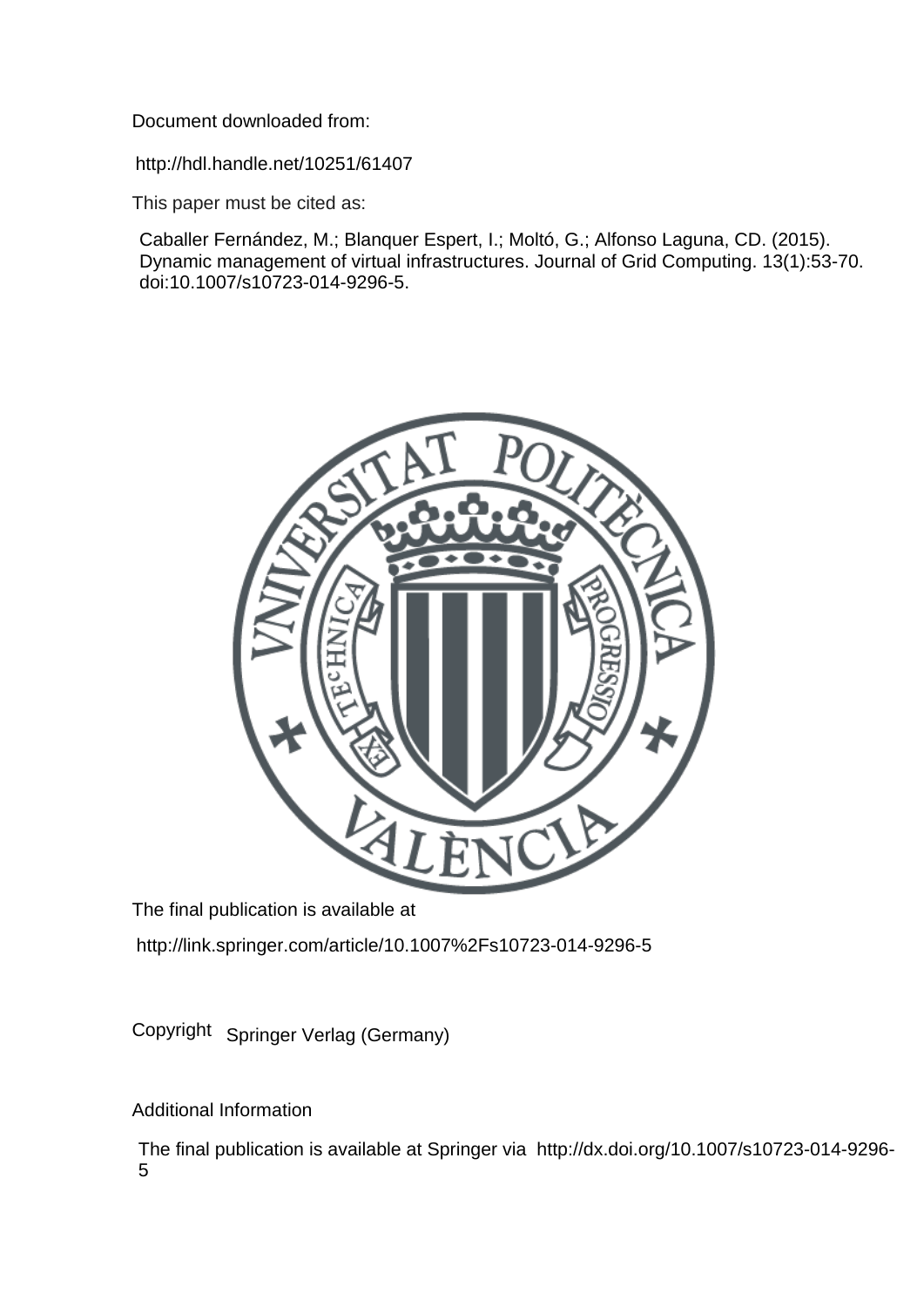Document downloaded from:

http://hdl.handle.net/10251/61407

This paper must be cited as:

Caballer Fernández, M.; Blanquer Espert, I.; Moltó, G.; Alfonso Laguna, CD. (2015). Dynamic management of virtual infrastructures. Journal of Grid Computing. 13(1):53-70. doi:10.1007/s10723-014-9296-5.



The final publication is available at

http://link.springer.com/article/10.1007%2Fs10723-014-9296-5

Copyright Springer Verlag (Germany)

Additional Information

The final publication is available at Springer via http://dx.doi.org/10.1007/s10723-014-9296- 5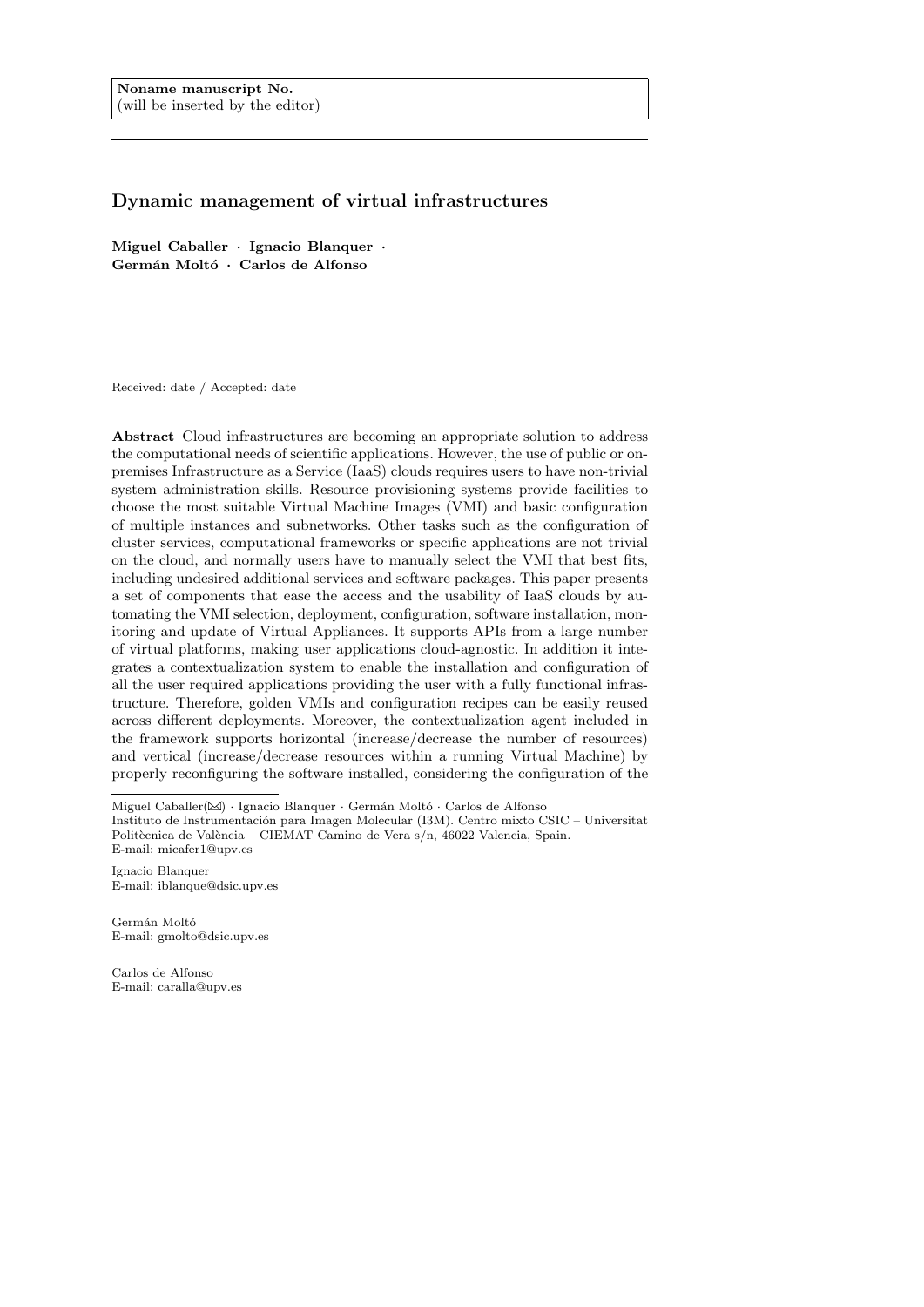# Dynamic management of virtual infrastructures

Miguel Caballer · Ignacio Blanquer · Germán Moltó · Carlos de Alfonso

Received: date / Accepted: date

Abstract Cloud infrastructures are becoming an appropriate solution to address the computational needs of scientific applications. However, the use of public or onpremises Infrastructure as a Service (IaaS) clouds requires users to have non-trivial system administration skills. Resource provisioning systems provide facilities to choose the most suitable Virtual Machine Images (VMI) and basic configuration of multiple instances and subnetworks. Other tasks such as the configuration of cluster services, computational frameworks or specific applications are not trivial on the cloud, and normally users have to manually select the VMI that best fits, including undesired additional services and software packages. This paper presents a set of components that ease the access and the usability of IaaS clouds by automating the VMI selection, deployment, configuration, software installation, monitoring and update of Virtual Appliances. It supports APIs from a large number of virtual platforms, making user applications cloud-agnostic. In addition it integrates a contextualization system to enable the installation and configuration of all the user required applications providing the user with a fully functional infrastructure. Therefore, golden VMIs and configuration recipes can be easily reused across different deployments. Moreover, the contextualization agent included in the framework supports horizontal (increase/decrease the number of resources) and vertical (increase/decrease resources within a running Virtual Machine) by properly reconfiguring the software installed, considering the configuration of the

Ignacio Blanquer E-mail: iblanque@dsic.upv.es

Germán Moltó E-mail: gmolto@dsic.upv.es

Carlos de Alfonso E-mail: caralla@upv.es

Miguel Caballer( $\boxtimes$ ) · Ignacio Blanquer · Germán Moltó · Carlos de Alfonso

Instituto de Instrumentación para Imagen Molecular (I3M). Centro mixto CSIC – Universitat Politècnica de València – CIEMAT Camino de Vera s/n, 46022 Valencia, Spain. E-mail: micafer1@upv.es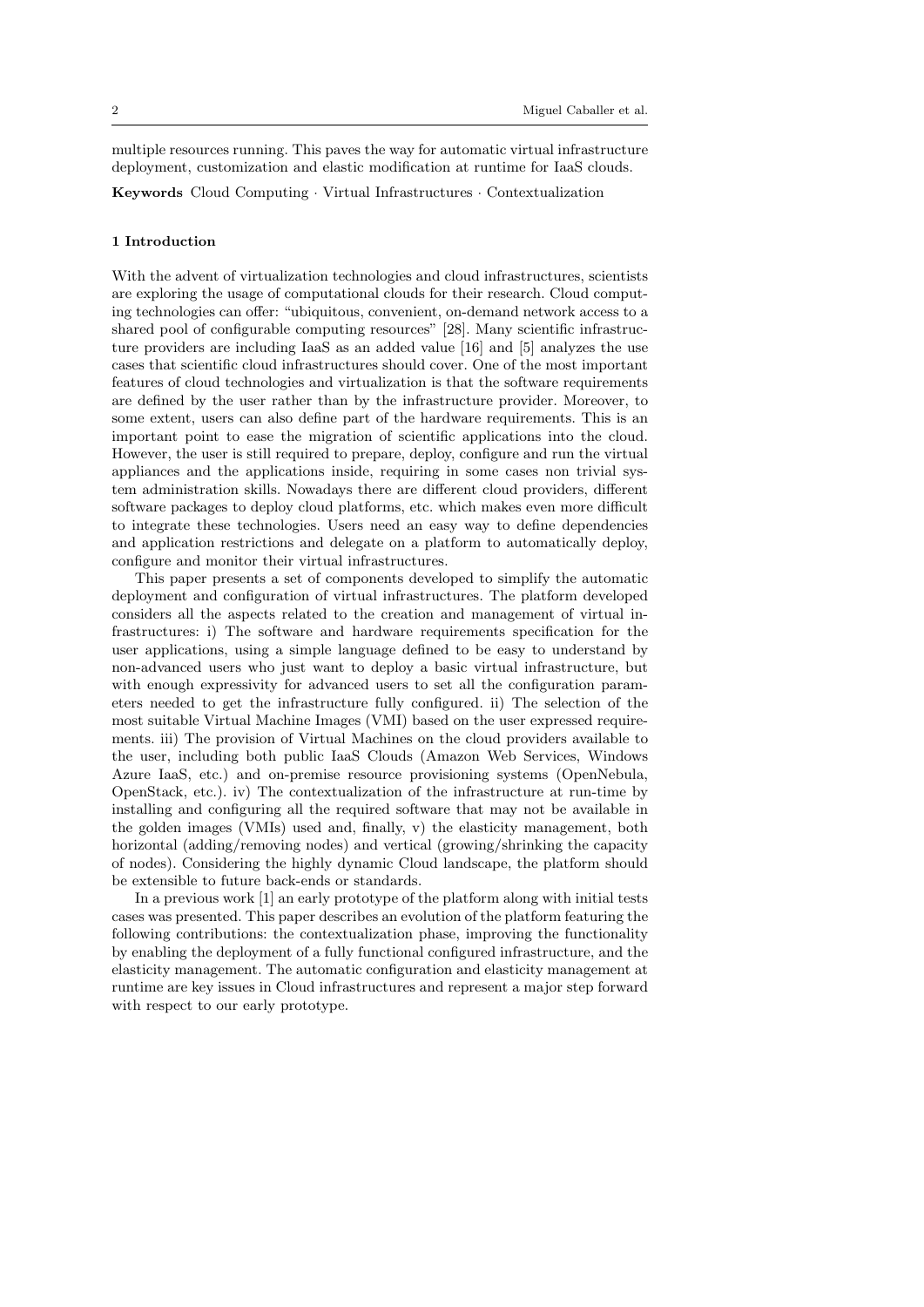multiple resources running. This paves the way for automatic virtual infrastructure deployment, customization and elastic modification at runtime for IaaS clouds.

Keywords Cloud Computing · Virtual Infrastructures · Contextualization

### 1 Introduction

With the advent of virtualization technologies and cloud infrastructures, scientists are exploring the usage of computational clouds for their research. Cloud computing technologies can offer: "ubiquitous, convenient, on-demand network access to a shared pool of configurable computing resources" [28]. Many scientific infrastructure providers are including IaaS as an added value [16] and [5] analyzes the use cases that scientific cloud infrastructures should cover. One of the most important features of cloud technologies and virtualization is that the software requirements are defined by the user rather than by the infrastructure provider. Moreover, to some extent, users can also define part of the hardware requirements. This is an important point to ease the migration of scientific applications into the cloud. However, the user is still required to prepare, deploy, configure and run the virtual appliances and the applications inside, requiring in some cases non trivial system administration skills. Nowadays there are different cloud providers, different software packages to deploy cloud platforms, etc. which makes even more difficult to integrate these technologies. Users need an easy way to define dependencies and application restrictions and delegate on a platform to automatically deploy, configure and monitor their virtual infrastructures.

This paper presents a set of components developed to simplify the automatic deployment and configuration of virtual infrastructures. The platform developed considers all the aspects related to the creation and management of virtual infrastructures: i) The software and hardware requirements specification for the user applications, using a simple language defined to be easy to understand by non-advanced users who just want to deploy a basic virtual infrastructure, but with enough expressivity for advanced users to set all the configuration parameters needed to get the infrastructure fully configured. ii) The selection of the most suitable Virtual Machine Images (VMI) based on the user expressed requirements. iii) The provision of Virtual Machines on the cloud providers available to the user, including both public IaaS Clouds (Amazon Web Services, Windows Azure IaaS, etc.) and on-premise resource provisioning systems (OpenNebula, OpenStack, etc.). iv) The contextualization of the infrastructure at run-time by installing and configuring all the required software that may not be available in the golden images (VMIs) used and, finally, v) the elasticity management, both horizontal (adding/removing nodes) and vertical (growing/shrinking the capacity of nodes). Considering the highly dynamic Cloud landscape, the platform should be extensible to future back-ends or standards.

In a previous work [1] an early prototype of the platform along with initial tests cases was presented. This paper describes an evolution of the platform featuring the following contributions: the contextualization phase, improving the functionality by enabling the deployment of a fully functional configured infrastructure, and the elasticity management. The automatic configuration and elasticity management at runtime are key issues in Cloud infrastructures and represent a major step forward with respect to our early prototype.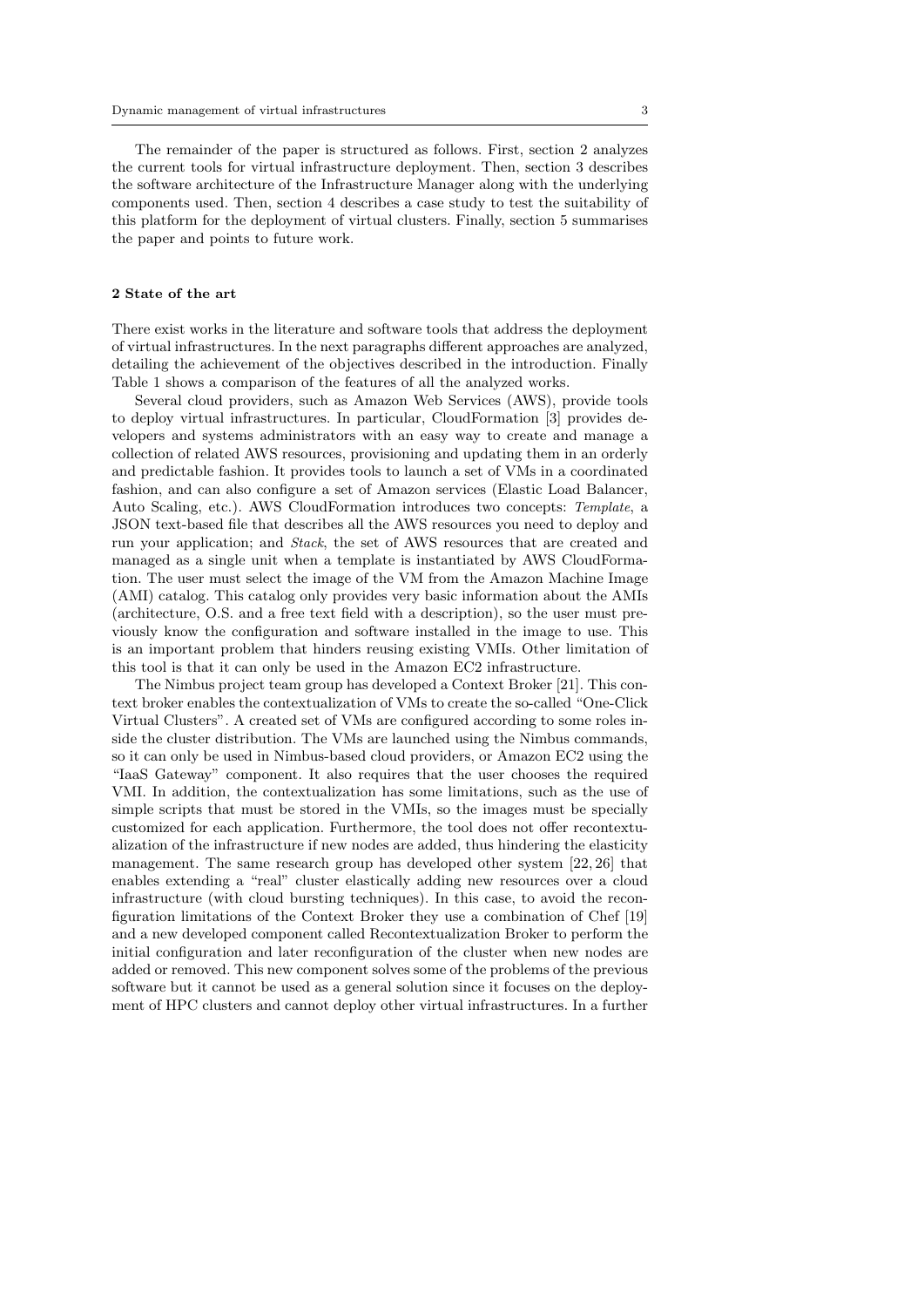The remainder of the paper is structured as follows. First, section 2 analyzes the current tools for virtual infrastructure deployment. Then, section 3 describes the software architecture of the Infrastructure Manager along with the underlying components used. Then, section 4 describes a case study to test the suitability of this platform for the deployment of virtual clusters. Finally, section 5 summarises the paper and points to future work.

### 2 State of the art

There exist works in the literature and software tools that address the deployment of virtual infrastructures. In the next paragraphs different approaches are analyzed, detailing the achievement of the objectives described in the introduction. Finally Table 1 shows a comparison of the features of all the analyzed works.

Several cloud providers, such as Amazon Web Services (AWS), provide tools to deploy virtual infrastructures. In particular, CloudFormation [3] provides developers and systems administrators with an easy way to create and manage a collection of related AWS resources, provisioning and updating them in an orderly and predictable fashion. It provides tools to launch a set of VMs in a coordinated fashion, and can also configure a set of Amazon services (Elastic Load Balancer, Auto Scaling, etc.). AWS CloudFormation introduces two concepts: Template, a JSON text-based file that describes all the AWS resources you need to deploy and run your application; and Stack, the set of AWS resources that are created and managed as a single unit when a template is instantiated by AWS CloudFormation. The user must select the image of the VM from the Amazon Machine Image (AMI) catalog. This catalog only provides very basic information about the AMIs (architecture, O.S. and a free text field with a description), so the user must previously know the configuration and software installed in the image to use. This is an important problem that hinders reusing existing VMIs. Other limitation of this tool is that it can only be used in the Amazon EC2 infrastructure.

The Nimbus project team group has developed a Context Broker [21]. This context broker enables the contextualization of VMs to create the so-called "One-Click Virtual Clusters". A created set of VMs are configured according to some roles inside the cluster distribution. The VMs are launched using the Nimbus commands, so it can only be used in Nimbus-based cloud providers, or Amazon EC2 using the "IaaS Gateway" component. It also requires that the user chooses the required VMI. In addition, the contextualization has some limitations, such as the use of simple scripts that must be stored in the VMIs, so the images must be specially customized for each application. Furthermore, the tool does not offer recontextualization of the infrastructure if new nodes are added, thus hindering the elasticity management. The same research group has developed other system [22, 26] that enables extending a "real" cluster elastically adding new resources over a cloud infrastructure (with cloud bursting techniques). In this case, to avoid the reconfiguration limitations of the Context Broker they use a combination of Chef [19] and a new developed component called Recontextualization Broker to perform the initial configuration and later reconfiguration of the cluster when new nodes are added or removed. This new component solves some of the problems of the previous software but it cannot be used as a general solution since it focuses on the deployment of HPC clusters and cannot deploy other virtual infrastructures. In a further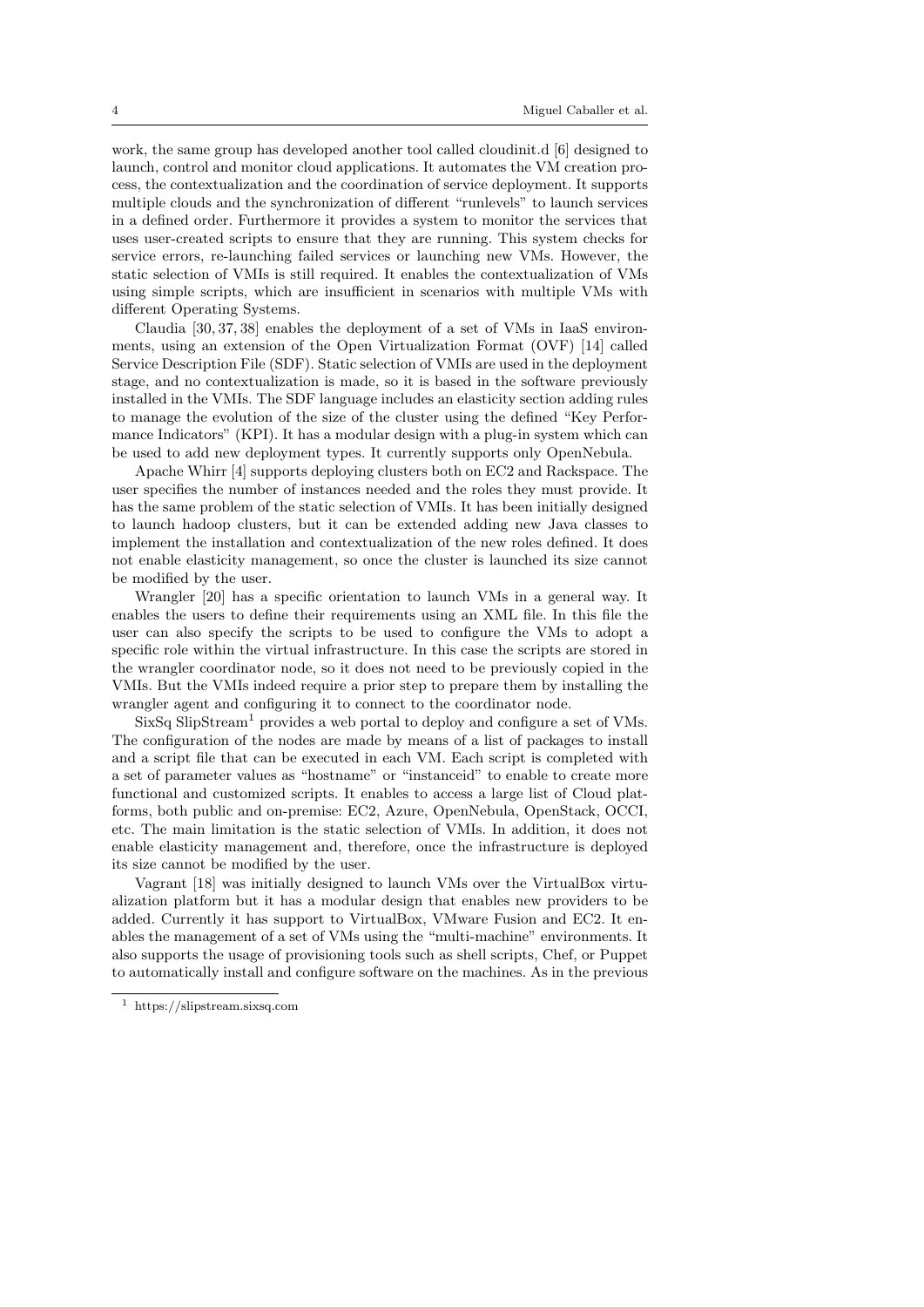work, the same group has developed another tool called cloudinit.d [6] designed to launch, control and monitor cloud applications. It automates the VM creation process, the contextualization and the coordination of service deployment. It supports multiple clouds and the synchronization of different "runlevels" to launch services in a defined order. Furthermore it provides a system to monitor the services that uses user-created scripts to ensure that they are running. This system checks for service errors, re-launching failed services or launching new VMs. However, the static selection of VMIs is still required. It enables the contextualization of VMs using simple scripts, which are insufficient in scenarios with multiple VMs with different Operating Systems.

Claudia [30, 37, 38] enables the deployment of a set of VMs in IaaS environments, using an extension of the Open Virtualization Format (OVF) [14] called Service Description File (SDF). Static selection of VMIs are used in the deployment stage, and no contextualization is made, so it is based in the software previously installed in the VMIs. The SDF language includes an elasticity section adding rules to manage the evolution of the size of the cluster using the defined "Key Performance Indicators" (KPI). It has a modular design with a plug-in system which can be used to add new deployment types. It currently supports only OpenNebula.

Apache Whirr [4] supports deploying clusters both on EC2 and Rackspace. The user specifies the number of instances needed and the roles they must provide. It has the same problem of the static selection of VMIs. It has been initially designed to launch hadoop clusters, but it can be extended adding new Java classes to implement the installation and contextualization of the new roles defined. It does not enable elasticity management, so once the cluster is launched its size cannot be modified by the user.

Wrangler [20] has a specific orientation to launch VMs in a general way. It enables the users to define their requirements using an XML file. In this file the user can also specify the scripts to be used to configure the VMs to adopt a specific role within the virtual infrastructure. In this case the scripts are stored in the wrangler coordinator node, so it does not need to be previously copied in the VMIs. But the VMIs indeed require a prior step to prepare them by installing the wrangler agent and configuring it to connect to the coordinator node.

SixSq SlipStream<sup>1</sup> provides a web portal to deploy and configure a set of VMs. The configuration of the nodes are made by means of a list of packages to install and a script file that can be executed in each VM. Each script is completed with a set of parameter values as "hostname" or "instanceid" to enable to create more functional and customized scripts. It enables to access a large list of Cloud platforms, both public and on-premise: EC2, Azure, OpenNebula, OpenStack, OCCI, etc. The main limitation is the static selection of VMIs. In addition, it does not enable elasticity management and, therefore, once the infrastructure is deployed its size cannot be modified by the user.

Vagrant [18] was initially designed to launch VMs over the VirtualBox virtualization platform but it has a modular design that enables new providers to be added. Currently it has support to VirtualBox, VMware Fusion and EC2. It enables the management of a set of VMs using the "multi-machine" environments. It also supports the usage of provisioning tools such as shell scripts, Chef, or Puppet to automatically install and configure software on the machines. As in the previous

<sup>1</sup> https://slipstream.sixsq.com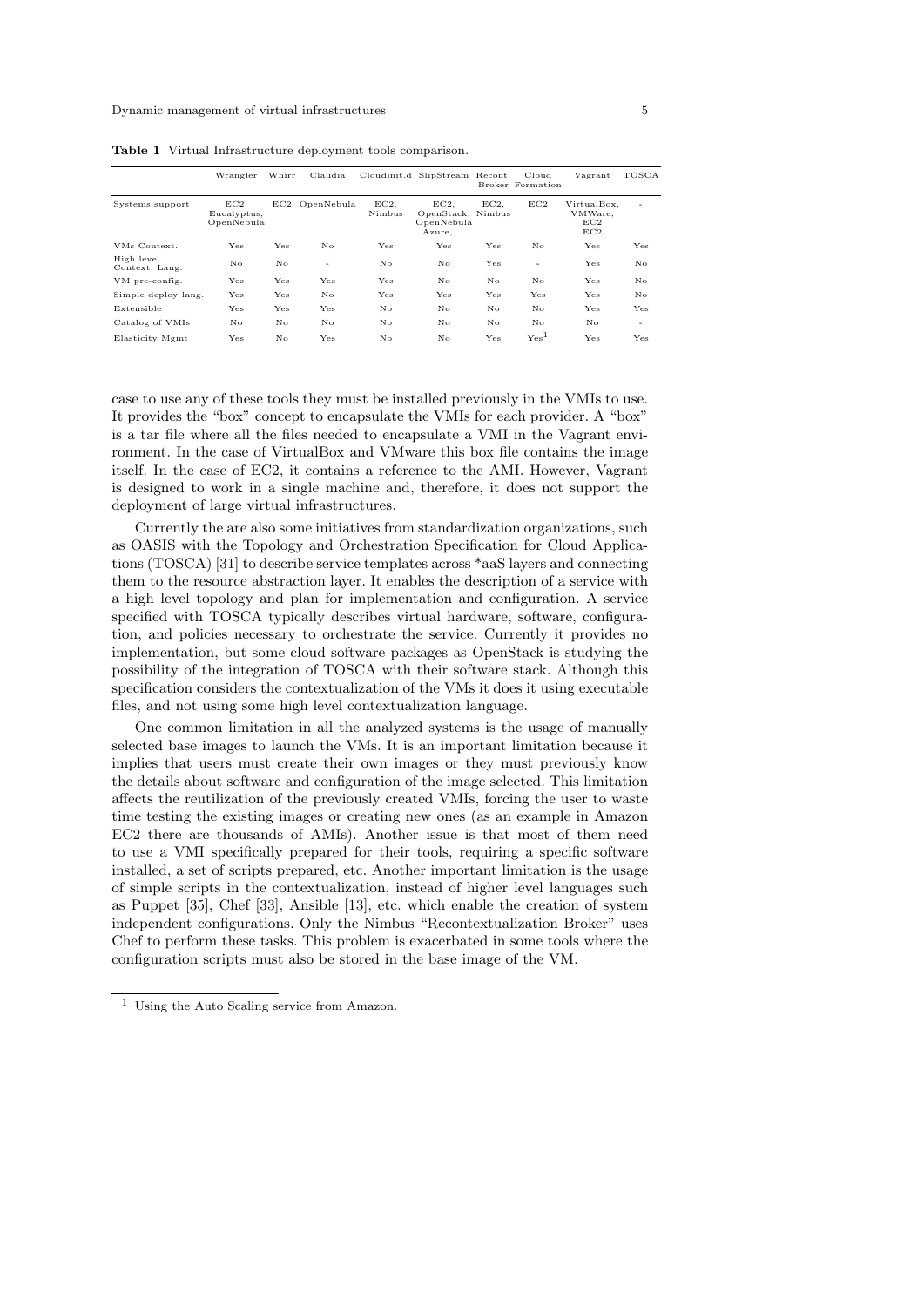|                              | Wrangler                         | Whirr | Claudia        |               | Cloudinit.d SlipStream Recont.                   |     | Cloud<br>Broker Formation | Vagrant                              | TOSCA |
|------------------------------|----------------------------------|-------|----------------|---------------|--------------------------------------------------|-----|---------------------------|--------------------------------------|-------|
| Systems support              | EC2<br>Eucalyptus,<br>OpenNebula |       | EC2 OpenNebula | EC2<br>Nimbus | EC2<br>OpenStack, Nimbus<br>OpenNebula<br>Azure, | EC2 | EC2                       | VirtualBox,<br>VMWare.<br>EC2<br>EC2 | ۰     |
| VMs Context.                 | Yes                              | Yes   | No             | Yes           | Yes                                              | Yes | No                        | Yes                                  | Yes   |
| High level<br>Context. Lang. | No                               | No.   | ۰              | No            | No                                               | Yes | ۰                         | Yes                                  | No    |
| VM pre-config.               | Yes                              | Yes   | Yes            | Yes           | No                                               | No  | No                        | Yes                                  | No    |
| Simple deploy lang.          | Yes                              | Yes   | No             | Yes           | Yes                                              | Yes | Yes                       | Yes                                  | No    |
| Extensible                   | Yes                              | Yes   | Yes            | No            | No                                               | No  | No                        | Yes                                  | Yes   |
| Catalog of VMIs              | No                               | No.   | No             | No            | No                                               | No  | No.                       | No.                                  | ٠     |
| Elasticity Mgmt              | Yes                              | No.   | Yes            | No            | No                                               | Yes | Yes <sup>1</sup>          | Yes                                  | Yes   |

Table 1 Virtual Infrastructure deployment tools comparison.

case to use any of these tools they must be installed previously in the VMIs to use. It provides the "box" concept to encapsulate the VMIs for each provider. A "box" is a tar file where all the files needed to encapsulate a VMI in the Vagrant environment. In the case of VirtualBox and VMware this box file contains the image itself. In the case of EC2, it contains a reference to the AMI. However, Vagrant is designed to work in a single machine and, therefore, it does not support the deployment of large virtual infrastructures.

Currently the are also some initiatives from standardization organizations, such as OASIS with the Topology and Orchestration Specification for Cloud Applications (TOSCA) [31] to describe service templates across \*aaS layers and connecting them to the resource abstraction layer. It enables the description of a service with a high level topology and plan for implementation and configuration. A service specified with TOSCA typically describes virtual hardware, software, configuration, and policies necessary to orchestrate the service. Currently it provides no implementation, but some cloud software packages as OpenStack is studying the possibility of the integration of TOSCA with their software stack. Although this specification considers the contextualization of the VMs it does it using executable files, and not using some high level contextualization language.

One common limitation in all the analyzed systems is the usage of manually selected base images to launch the VMs. It is an important limitation because it implies that users must create their own images or they must previously know the details about software and configuration of the image selected. This limitation affects the reutilization of the previously created VMIs, forcing the user to waste time testing the existing images or creating new ones (as an example in Amazon EC2 there are thousands of AMIs). Another issue is that most of them need to use a VMI specifically prepared for their tools, requiring a specific software installed, a set of scripts prepared, etc. Another important limitation is the usage of simple scripts in the contextualization, instead of higher level languages such as Puppet [35], Chef [33], Ansible [13], etc. which enable the creation of system independent configurations. Only the Nimbus "Recontextualization Broker" uses Chef to perform these tasks. This problem is exacerbated in some tools where the configuration scripts must also be stored in the base image of the VM.

<sup>1</sup> Using the Auto Scaling service from Amazon.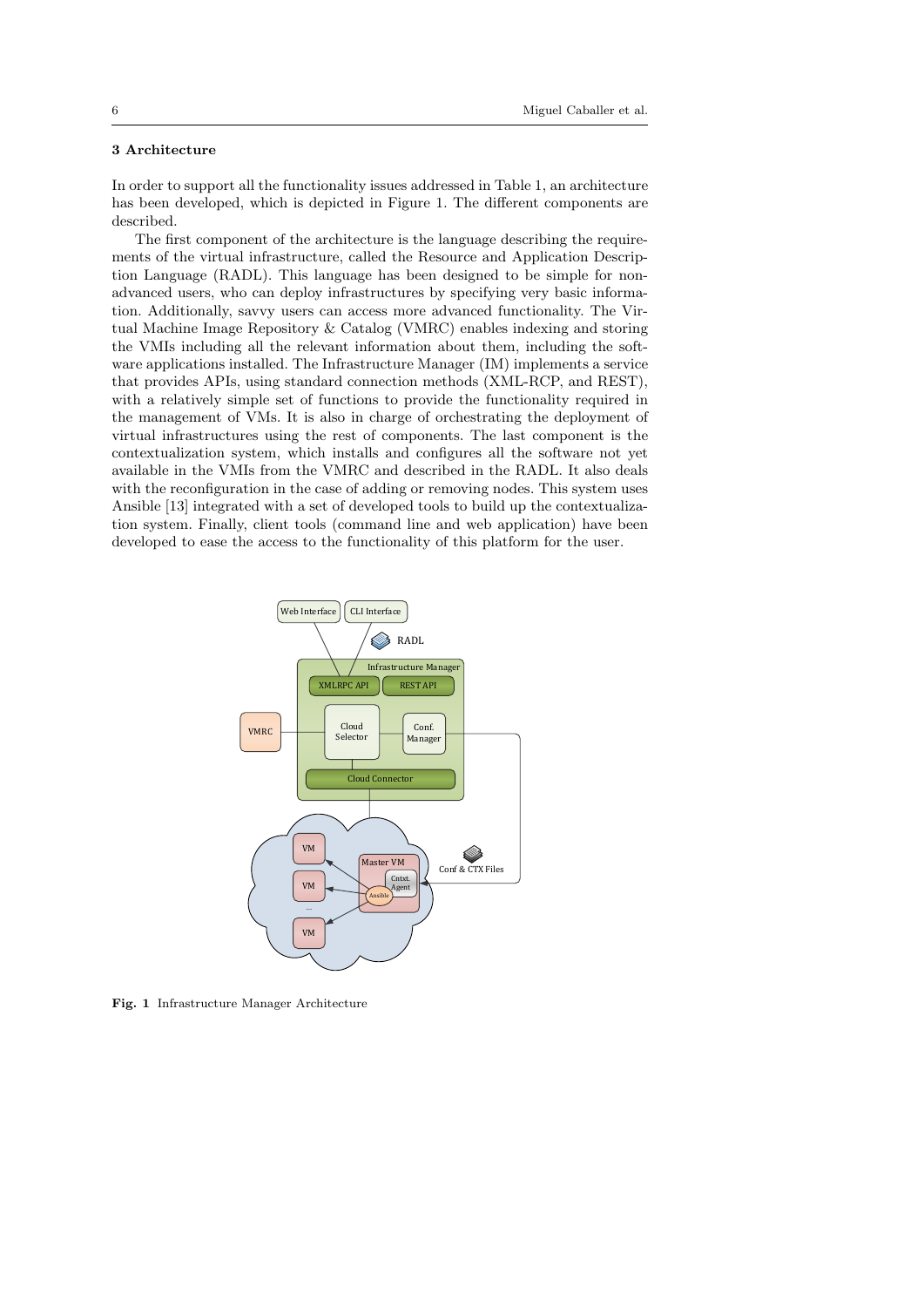# 3 Architecture

In order to support all the functionality issues addressed in Table 1, an architecture has been developed, which is depicted in Figure 1. The different components are described.

The first component of the architecture is the language describing the requirements of the virtual infrastructure, called the Resource and Application Description Language (RADL). This language has been designed to be simple for nonadvanced users, who can deploy infrastructures by specifying very basic information. Additionally, savvy users can access more advanced functionality. The Virtual Machine Image Repository & Catalog (VMRC) enables indexing and storing the VMIs including all the relevant information about them, including the software applications installed. The Infrastructure Manager (IM) implements a service that provides APIs, using standard connection methods (XML-RCP, and REST), with a relatively simple set of functions to provide the functionality required in the management of VMs. It is also in charge of orchestrating the deployment of virtual infrastructures using the rest of components. The last component is the contextualization system, which installs and configures all the software not yet available in the VMIs from the VMRC and described in the RADL. It also deals with the reconfiguration in the case of adding or removing nodes. This system uses Ansible [13] integrated with a set of developed tools to build up the contextualization system. Finally, client tools (command line and web application) have been developed to ease the access to the functionality of this platform for the user.



Fig. 1 Infrastructure Manager Architecture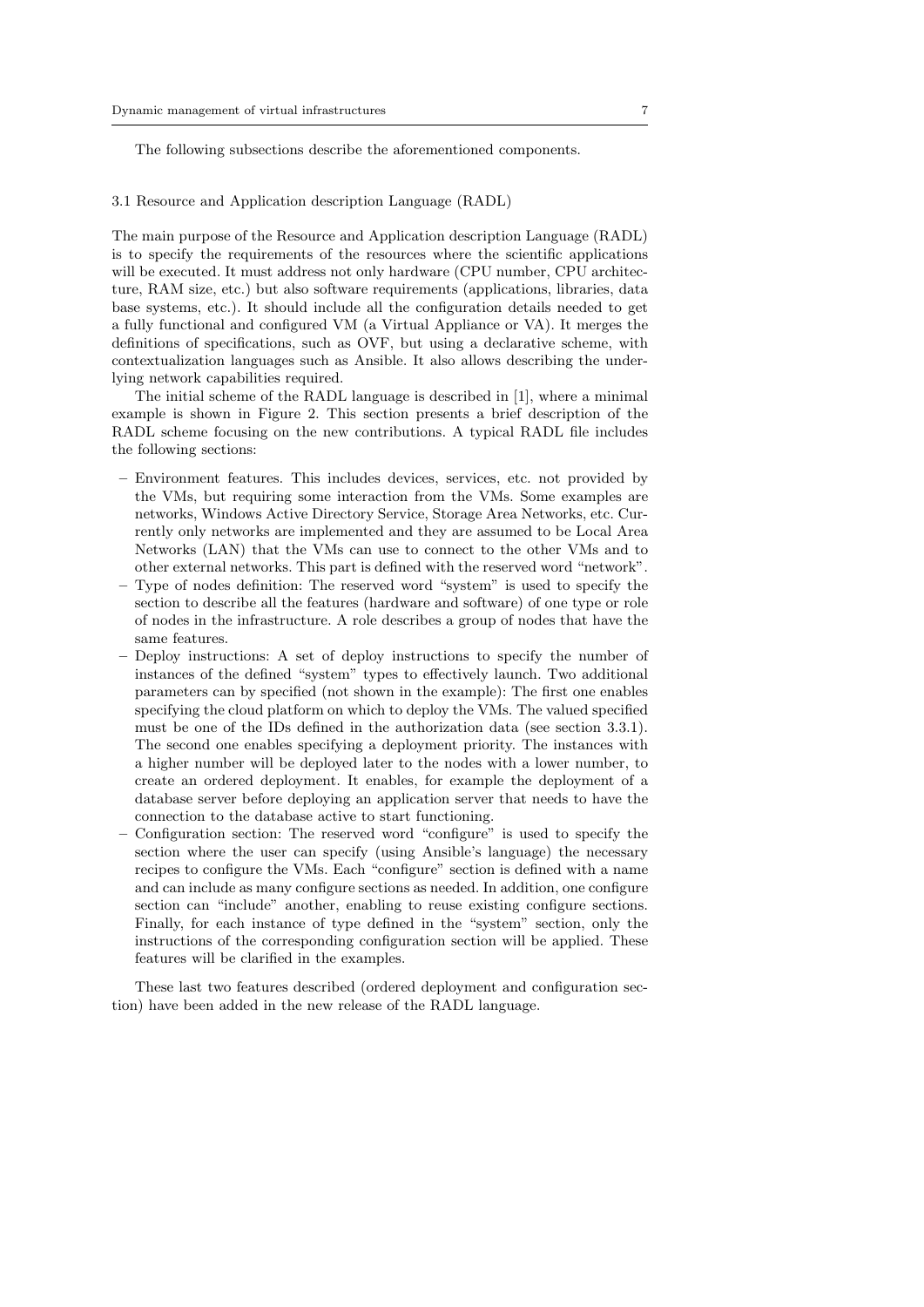The following subsections describe the aforementioned components.

# 3.1 Resource and Application description Language (RADL)

The main purpose of the Resource and Application description Language (RADL) is to specify the requirements of the resources where the scientific applications will be executed. It must address not only hardware (CPU number, CPU architecture, RAM size, etc.) but also software requirements (applications, libraries, data base systems, etc.). It should include all the configuration details needed to get a fully functional and configured VM (a Virtual Appliance or VA). It merges the definitions of specifications, such as OVF, but using a declarative scheme, with contextualization languages such as Ansible. It also allows describing the underlying network capabilities required.

The initial scheme of the RADL language is described in [1], where a minimal example is shown in Figure 2. This section presents a brief description of the RADL scheme focusing on the new contributions. A typical RADL file includes the following sections:

- Environment features. This includes devices, services, etc. not provided by the VMs, but requiring some interaction from the VMs. Some examples are networks, Windows Active Directory Service, Storage Area Networks, etc. Currently only networks are implemented and they are assumed to be Local Area Networks (LAN) that the VMs can use to connect to the other VMs and to other external networks. This part is defined with the reserved word "network".
- Type of nodes definition: The reserved word "system" is used to specify the section to describe all the features (hardware and software) of one type or role of nodes in the infrastructure. A role describes a group of nodes that have the same features.
- Deploy instructions: A set of deploy instructions to specify the number of instances of the defined "system" types to effectively launch. Two additional parameters can by specified (not shown in the example): The first one enables specifying the cloud platform on which to deploy the VMs. The valued specified must be one of the IDs defined in the authorization data (see section 3.3.1). The second one enables specifying a deployment priority. The instances with a higher number will be deployed later to the nodes with a lower number, to create an ordered deployment. It enables, for example the deployment of a database server before deploying an application server that needs to have the connection to the database active to start functioning.
- Configuration section: The reserved word "configure" is used to specify the section where the user can specify (using Ansible's language) the necessary recipes to configure the VMs. Each "configure" section is defined with a name and can include as many configure sections as needed. In addition, one configure section can "include" another, enabling to reuse existing configure sections. Finally, for each instance of type defined in the "system" section, only the instructions of the corresponding configuration section will be applied. These features will be clarified in the examples.

These last two features described (ordered deployment and configuration section) have been added in the new release of the RADL language.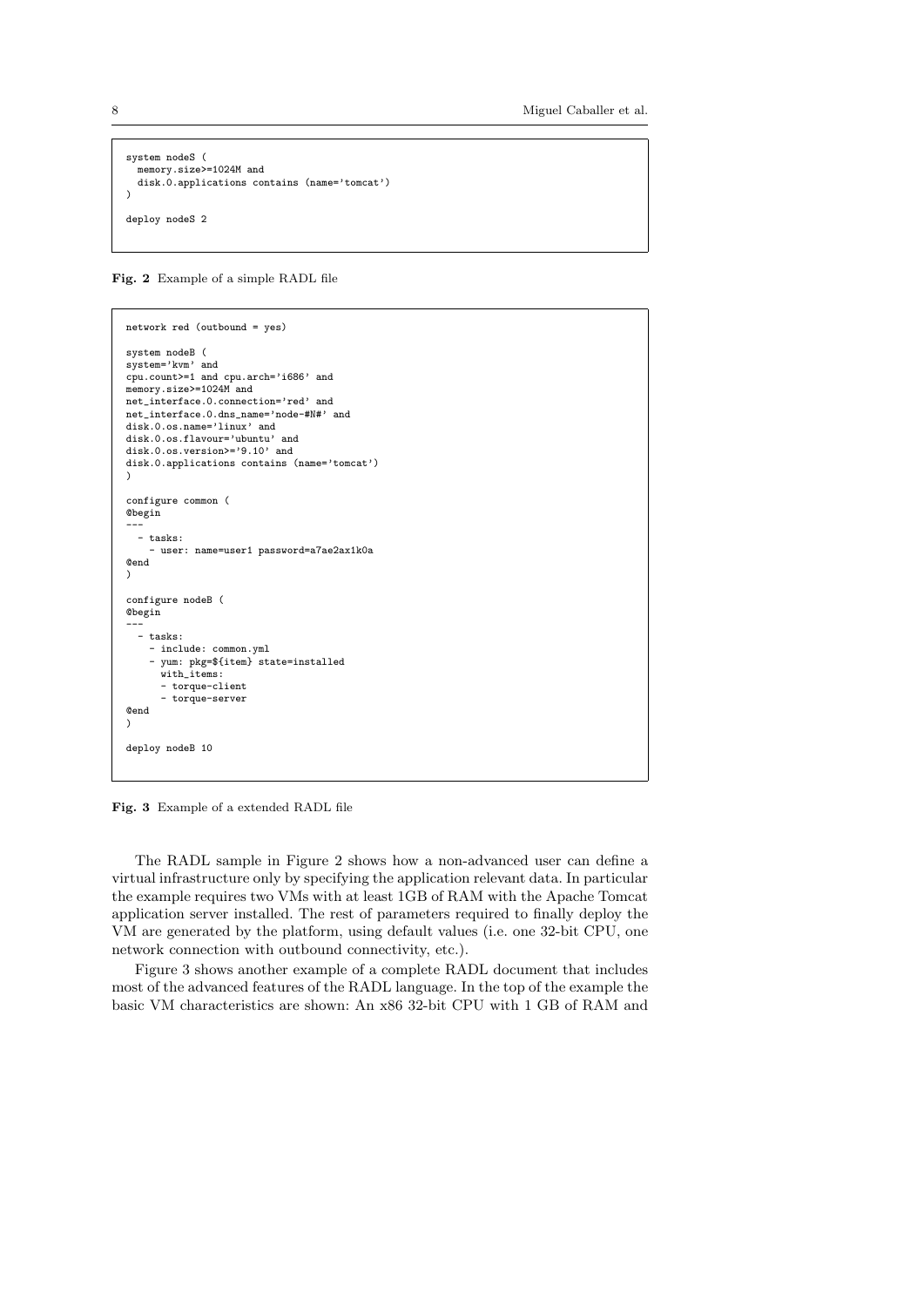```
system nodeS (
  memory.size>=1024M and
  disk.0.applications contains (name='tomcat')
\lambdadeploy nodeS 2
```
Fig. 2 Example of a simple RADL file

```
network red (outbound = yes)
system nodeB (
system='kvm' and
cpu.count>=1 and cpu.arch='i686' and
memory.size>=1024M and
net_interface.0.connection='red' and
net_interface.0.dns_name='node-#N#' and
disk.0.os.name='linux' and
disk.0.os.flavour='ubuntu' and
disk.0.os.version>='9.10' and
disk.0.applications contains (name='tomcat')
)
configure common (
@begin
---
  - tasks:
    - user: name=user1 password=a7ae2ax1k0a
@end
)
configure nodeB (
@begin
---
  - tasks:
    - include: common.yml
    - yum: pkg=${item} state=installed
      with_items:
      - torque-client
       - torque-server
@end
)
deploy nodeB 10
```
Fig. 3 Example of a extended RADL file

The RADL sample in Figure 2 shows how a non-advanced user can define a virtual infrastructure only by specifying the application relevant data. In particular the example requires two VMs with at least 1GB of RAM with the Apache Tomcat application server installed. The rest of parameters required to finally deploy the VM are generated by the platform, using default values (i.e. one 32-bit CPU, one network connection with outbound connectivity, etc.).

Figure 3 shows another example of a complete RADL document that includes most of the advanced features of the RADL language. In the top of the example the basic VM characteristics are shown: An x86 32-bit CPU with 1 GB of RAM and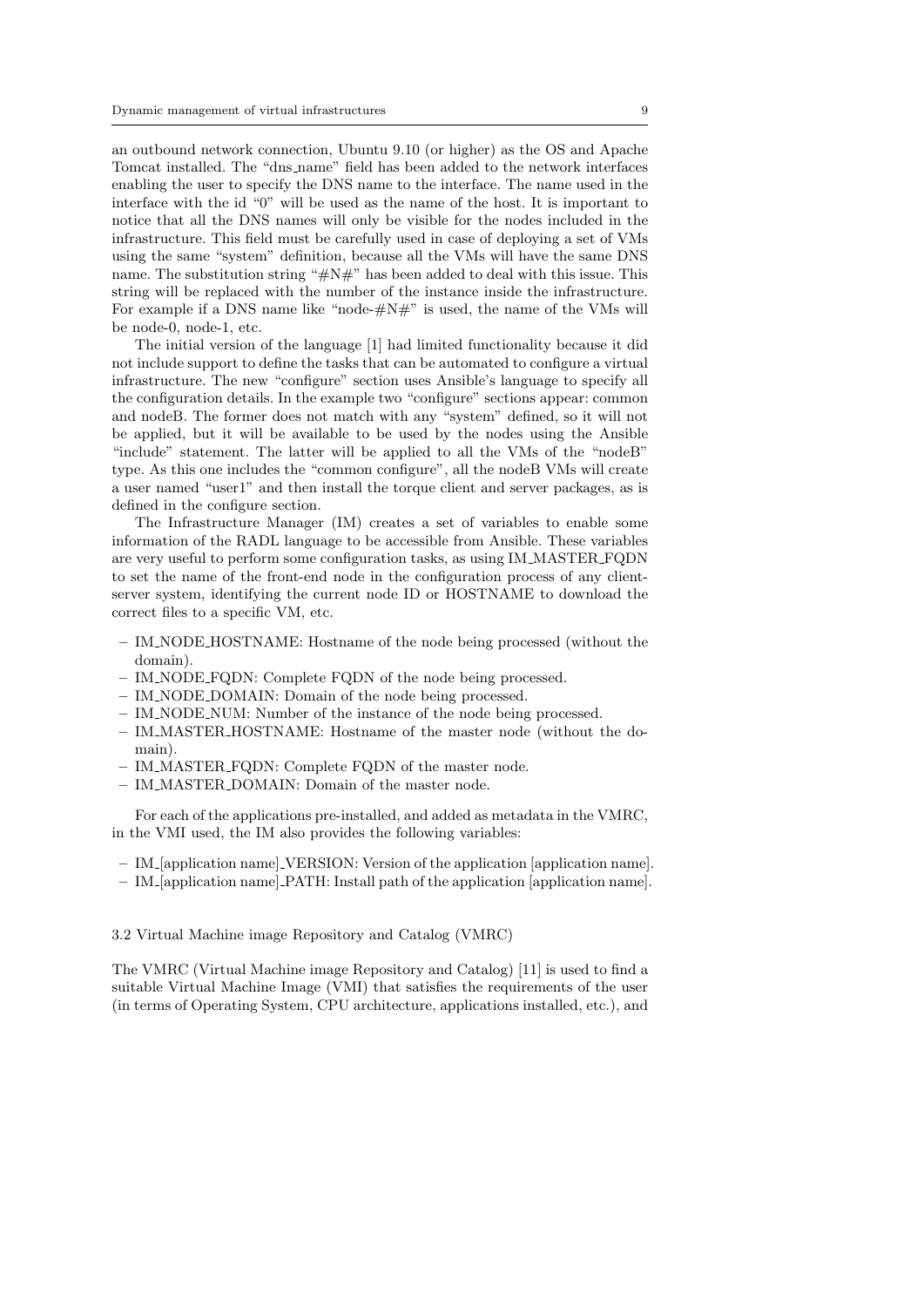an outbound network connection, Ubuntu 9.10 (or higher) as the OS and Apache Tomcat installed. The "dns name" field has been added to the network interfaces enabling the user to specify the DNS name to the interface. The name used in the interface with the id "0" will be used as the name of the host. It is important to notice that all the DNS names will only be visible for the nodes included in the infrastructure. This field must be carefully used in case of deploying a set of VMs using the same "system" definition, because all the VMs will have the same DNS name. The substitution string " $\#N\#$ " has been added to deal with this issue. This string will be replaced with the number of the instance inside the infrastructure. For example if a DNS name like "node- $\#N\#$ " is used, the name of the VMs will be node-0, node-1, etc.

The initial version of the language [1] had limited functionality because it did not include support to define the tasks that can be automated to configure a virtual infrastructure. The new "configure" section uses Ansible's language to specify all the configuration details. In the example two "configure" sections appear: common and nodeB. The former does not match with any "system" defined, so it will not be applied, but it will be available to be used by the nodes using the Ansible "include" statement. The latter will be applied to all the VMs of the "nodeB" type. As this one includes the "common configure", all the nodeB VMs will create a user named "user1" and then install the torque client and server packages, as is defined in the configure section.

The Infrastructure Manager (IM) creates a set of variables to enable some information of the RADL language to be accessible from Ansible. These variables are very useful to perform some configuration tasks, as using IM MASTER FQDN to set the name of the front-end node in the configuration process of any clientserver system, identifying the current node ID or HOSTNAME to download the correct files to a specific VM, etc.

- IM NODE HOSTNAME: Hostname of the node being processed (without the domain).
- IM NODE FQDN: Complete FQDN of the node being processed.
- IM NODE DOMAIN: Domain of the node being processed.
- IM NODE NUM: Number of the instance of the node being processed.
- IM MASTER HOSTNAME: Hostname of the master node (without the domain).
- IM MASTER FQDN: Complete FQDN of the master node.
- IM MASTER DOMAIN: Domain of the master node.

For each of the applications pre-installed, and added as metadata in the VMRC, in the VMI used, the IM also provides the following variables:

- IM [application name] VERSION: Version of the application [application name].
- IM [application name] PATH: Install path of the application [application name].

### 3.2 Virtual Machine image Repository and Catalog (VMRC)

The VMRC (Virtual Machine image Repository and Catalog) [11] is used to find a suitable Virtual Machine Image (VMI) that satisfies the requirements of the user (in terms of Operating System, CPU architecture, applications installed, etc.), and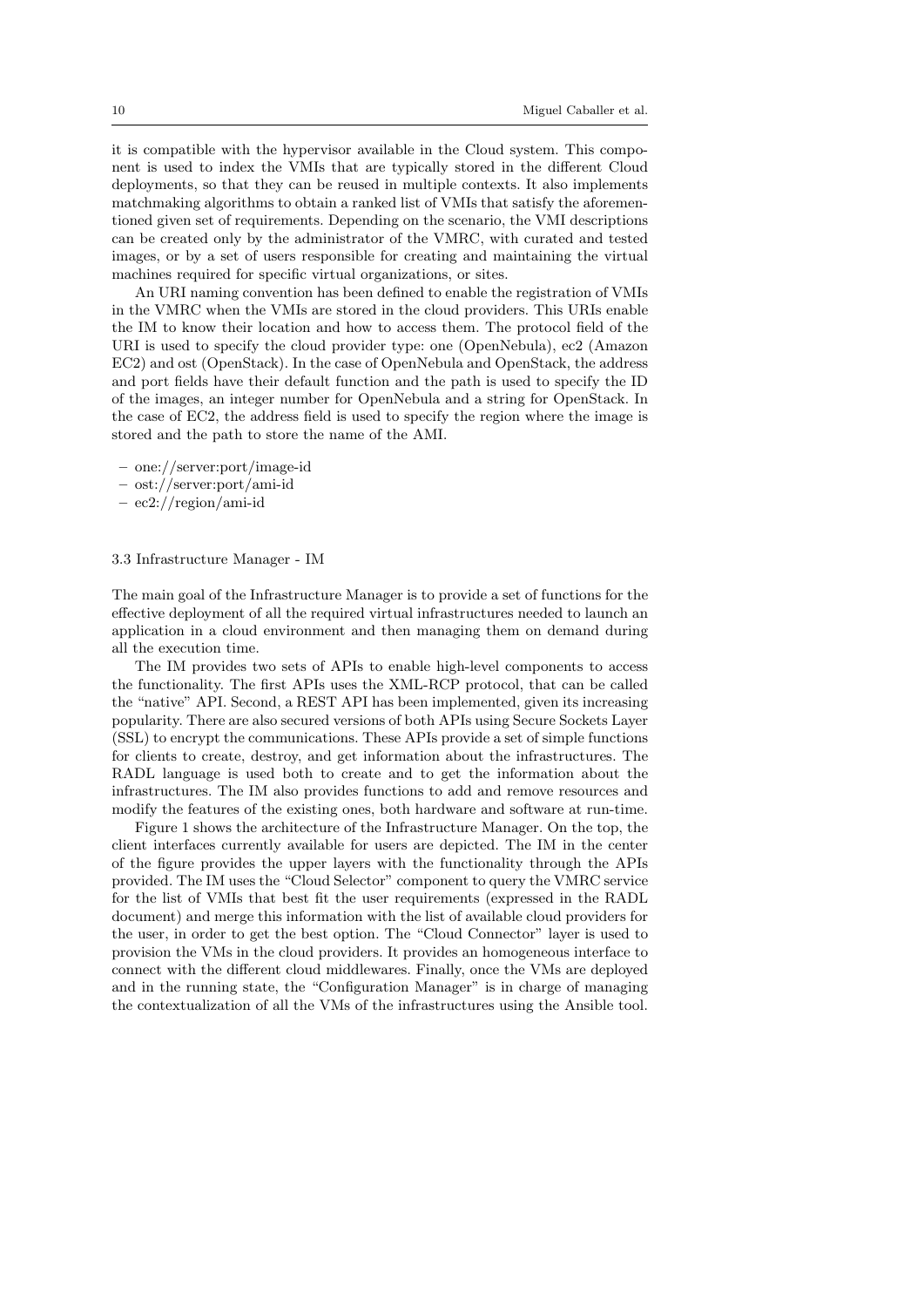it is compatible with the hypervisor available in the Cloud system. This component is used to index the VMIs that are typically stored in the different Cloud deployments, so that they can be reused in multiple contexts. It also implements matchmaking algorithms to obtain a ranked list of VMIs that satisfy the aforementioned given set of requirements. Depending on the scenario, the VMI descriptions can be created only by the administrator of the VMRC, with curated and tested images, or by a set of users responsible for creating and maintaining the virtual machines required for specific virtual organizations, or sites.

An URI naming convention has been defined to enable the registration of VMIs in the VMRC when the VMIs are stored in the cloud providers. This URIs enable the IM to know their location and how to access them. The protocol field of the URI is used to specify the cloud provider type: one (OpenNebula), ec2 (Amazon EC2) and ost (OpenStack). In the case of OpenNebula and OpenStack, the address and port fields have their default function and the path is used to specify the ID of the images, an integer number for OpenNebula and a string for OpenStack. In the case of EC2, the address field is used to specify the region where the image is stored and the path to store the name of the AMI.

- one://server:port/image-id
- ost://server:port/ami-id
- ec2://region/ami-id

#### 3.3 Infrastructure Manager - IM

The main goal of the Infrastructure Manager is to provide a set of functions for the effective deployment of all the required virtual infrastructures needed to launch an application in a cloud environment and then managing them on demand during all the execution time.

The IM provides two sets of APIs to enable high-level components to access the functionality. The first APIs uses the XML-RCP protocol, that can be called the "native" API. Second, a REST API has been implemented, given its increasing popularity. There are also secured versions of both APIs using Secure Sockets Layer (SSL) to encrypt the communications. These APIs provide a set of simple functions for clients to create, destroy, and get information about the infrastructures. The RADL language is used both to create and to get the information about the infrastructures. The IM also provides functions to add and remove resources and modify the features of the existing ones, both hardware and software at run-time.

Figure 1 shows the architecture of the Infrastructure Manager. On the top, the client interfaces currently available for users are depicted. The IM in the center of the figure provides the upper layers with the functionality through the APIs provided. The IM uses the "Cloud Selector" component to query the VMRC service for the list of VMIs that best fit the user requirements (expressed in the RADL document) and merge this information with the list of available cloud providers for the user, in order to get the best option. The "Cloud Connector" layer is used to provision the VMs in the cloud providers. It provides an homogeneous interface to connect with the different cloud middlewares. Finally, once the VMs are deployed and in the running state, the "Configuration Manager" is in charge of managing the contextualization of all the VMs of the infrastructures using the Ansible tool.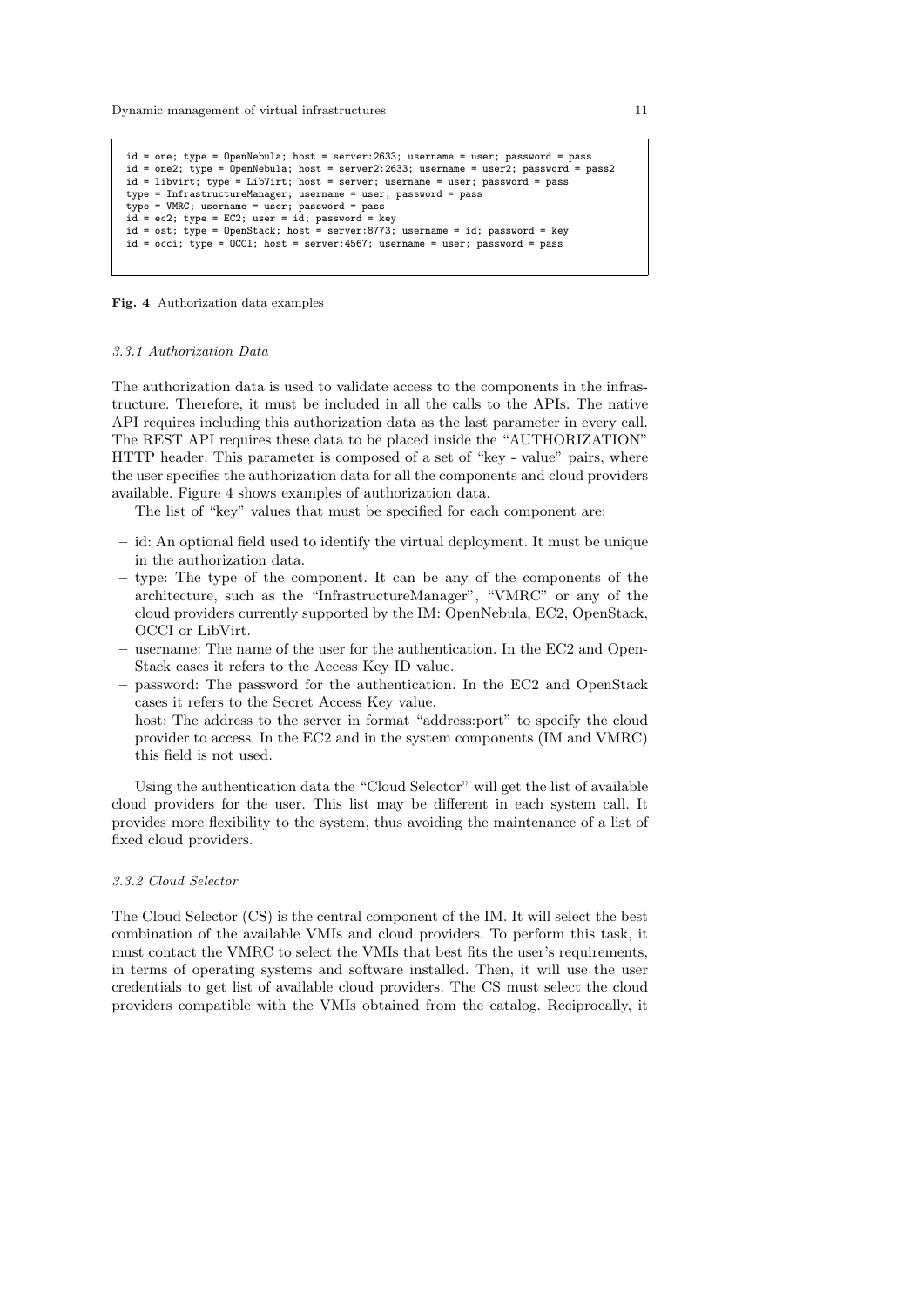```
id = one; type = OpenNebula; host = server:2633; username = user; password = pass
id = one2; type = OpenNebula; host = server2:2633; username = user2; password = pass2
id = libvirt; type = LibVirt; host = server; username = user; password = pass
type = InfrastructureManager; username = user; password = pass
type = VMRC; username = user; password = pass
id = ec2; type = EC2; user = id; password = key
id = ost; type = OpenStack; host = server:8773; username = id; password = key
id = occi; type = OCCI; host = server:4567; username = user; password = pass
```


#### 3.3.1 Authorization Data

The authorization data is used to validate access to the components in the infrastructure. Therefore, it must be included in all the calls to the APIs. The native API requires including this authorization data as the last parameter in every call. The REST API requires these data to be placed inside the "AUTHORIZATION" HTTP header. This parameter is composed of a set of "key - value" pairs, where the user specifies the authorization data for all the components and cloud providers available. Figure 4 shows examples of authorization data.

The list of "key" values that must be specified for each component are:

- id: An optional field used to identify the virtual deployment. It must be unique in the authorization data.
- type: The type of the component. It can be any of the components of the architecture, such as the "InfrastructureManager", "VMRC" or any of the cloud providers currently supported by the IM: OpenNebula, EC2, OpenStack, OCCI or LibVirt.
- username: The name of the user for the authentication. In the EC2 and Open-Stack cases it refers to the Access Key ID value.
- password: The password for the authentication. In the EC2 and OpenStack cases it refers to the Secret Access Key value.
- host: The address to the server in format "address:port" to specify the cloud provider to access. In the EC2 and in the system components (IM and VMRC) this field is not used.

Using the authentication data the "Cloud Selector" will get the list of available cloud providers for the user. This list may be different in each system call. It provides more flexibility to the system, thus avoiding the maintenance of a list of fixed cloud providers.

# 3.3.2 Cloud Selector

The Cloud Selector (CS) is the central component of the IM. It will select the best combination of the available VMIs and cloud providers. To perform this task, it must contact the VMRC to select the VMIs that best fits the user's requirements, in terms of operating systems and software installed. Then, it will use the user credentials to get list of available cloud providers. The CS must select the cloud providers compatible with the VMIs obtained from the catalog. Reciprocally, it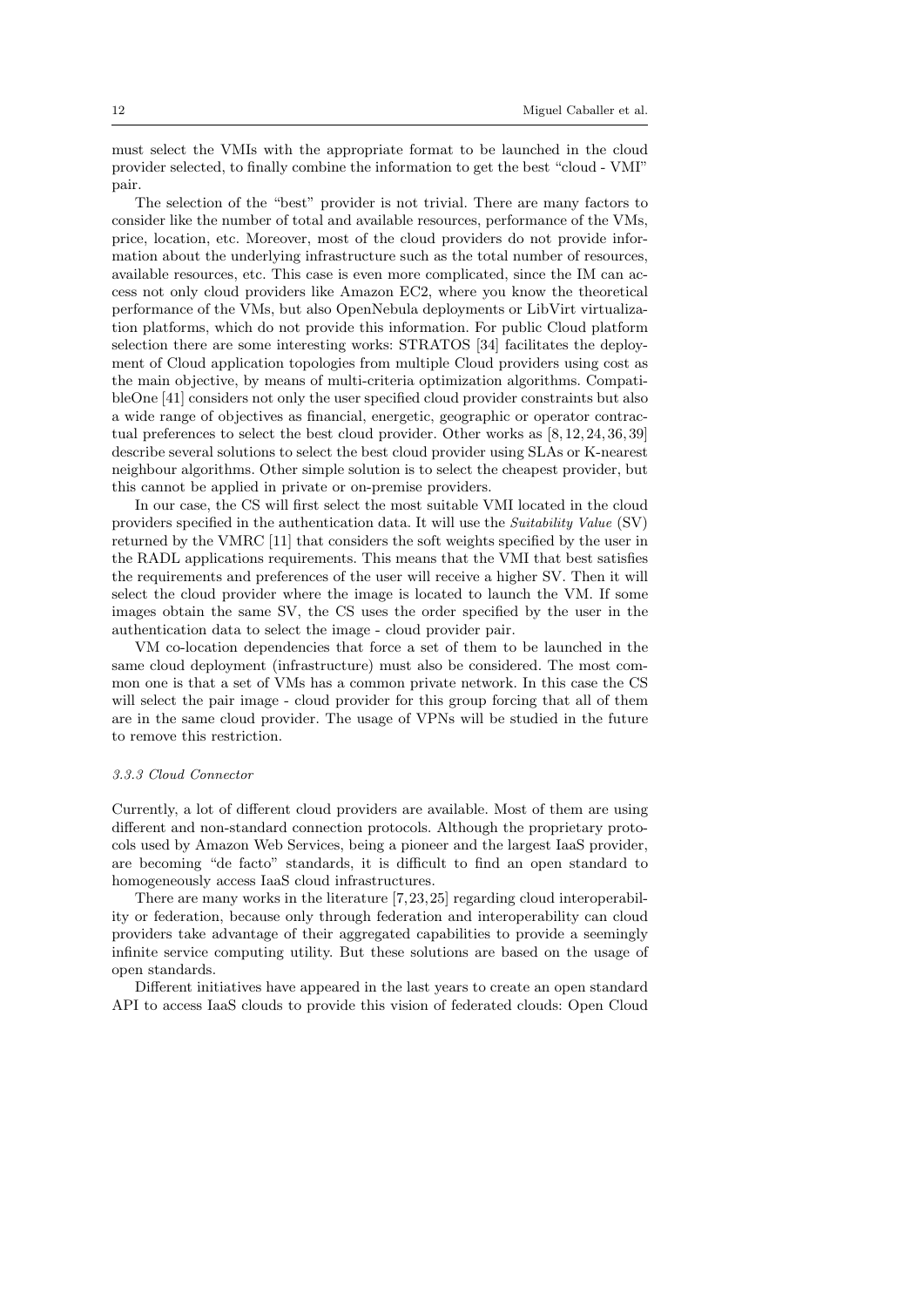must select the VMIs with the appropriate format to be launched in the cloud provider selected, to finally combine the information to get the best "cloud - VMI" pair.

The selection of the "best" provider is not trivial. There are many factors to consider like the number of total and available resources, performance of the VMs, price, location, etc. Moreover, most of the cloud providers do not provide information about the underlying infrastructure such as the total number of resources, available resources, etc. This case is even more complicated, since the IM can access not only cloud providers like Amazon EC2, where you know the theoretical performance of the VMs, but also OpenNebula deployments or LibVirt virtualization platforms, which do not provide this information. For public Cloud platform selection there are some interesting works: STRATOS [34] facilitates the deployment of Cloud application topologies from multiple Cloud providers using cost as the main objective, by means of multi-criteria optimization algorithms. CompatibleOne [41] considers not only the user specified cloud provider constraints but also a wide range of objectives as financial, energetic, geographic or operator contractual preferences to select the best cloud provider. Other works as [8, 12, 24, 36, 39] describe several solutions to select the best cloud provider using SLAs or K-nearest neighbour algorithms. Other simple solution is to select the cheapest provider, but this cannot be applied in private or on-premise providers.

In our case, the CS will first select the most suitable VMI located in the cloud providers specified in the authentication data. It will use the Suitability Value (SV) returned by the VMRC [11] that considers the soft weights specified by the user in the RADL applications requirements. This means that the VMI that best satisfies the requirements and preferences of the user will receive a higher SV. Then it will select the cloud provider where the image is located to launch the VM. If some images obtain the same SV, the CS uses the order specified by the user in the authentication data to select the image - cloud provider pair.

VM co-location dependencies that force a set of them to be launched in the same cloud deployment (infrastructure) must also be considered. The most common one is that a set of VMs has a common private network. In this case the CS will select the pair image - cloud provider for this group forcing that all of them are in the same cloud provider. The usage of VPNs will be studied in the future to remove this restriction.

# 3.3.3 Cloud Connector

Currently, a lot of different cloud providers are available. Most of them are using different and non-standard connection protocols. Although the proprietary protocols used by Amazon Web Services, being a pioneer and the largest IaaS provider, are becoming "de facto" standards, it is difficult to find an open standard to homogeneously access IaaS cloud infrastructures.

There are many works in the literature [7,23,25] regarding cloud interoperability or federation, because only through federation and interoperability can cloud providers take advantage of their aggregated capabilities to provide a seemingly infinite service computing utility. But these solutions are based on the usage of open standards.

Different initiatives have appeared in the last years to create an open standard API to access IaaS clouds to provide this vision of federated clouds: Open Cloud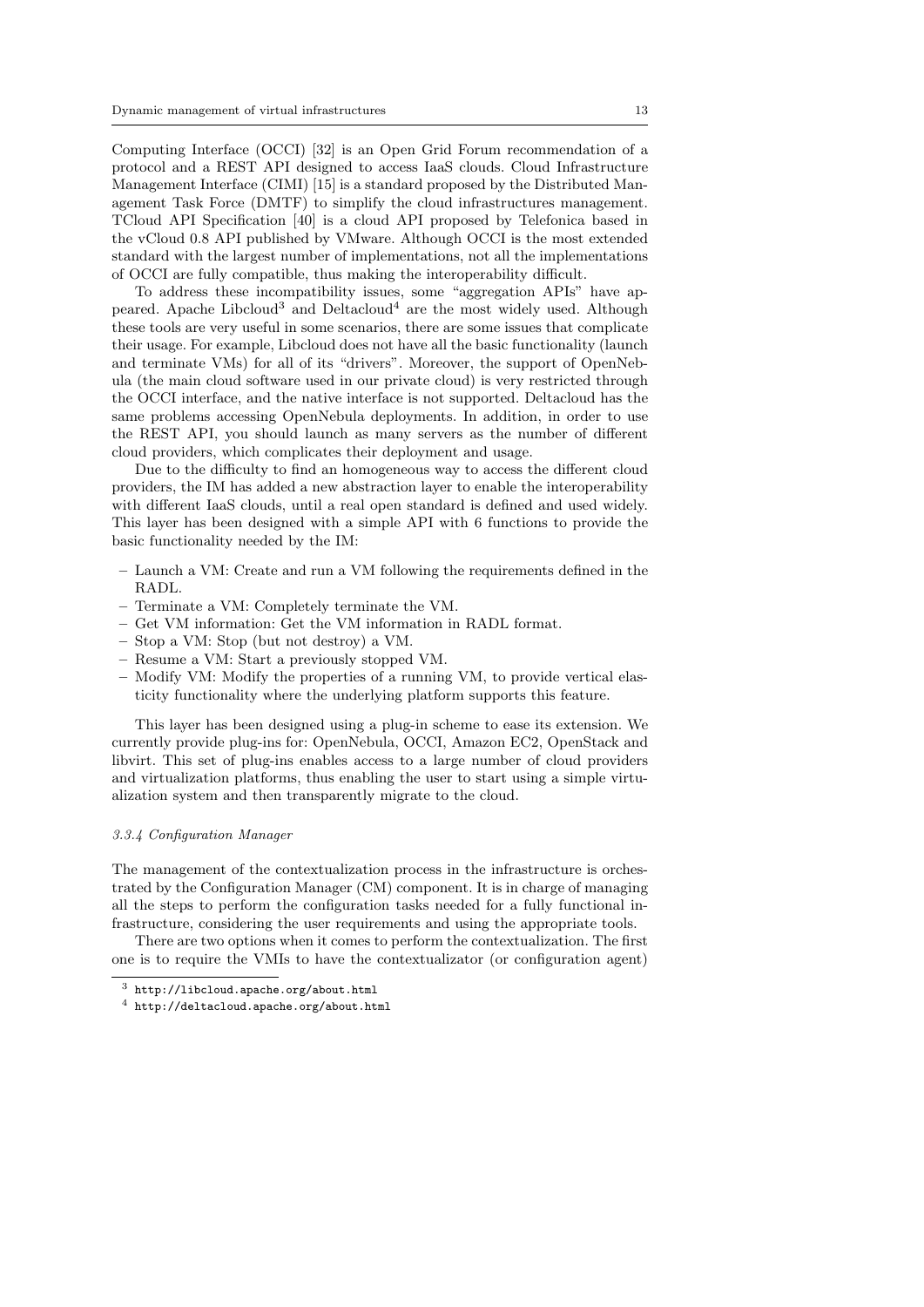Computing Interface (OCCI) [32] is an Open Grid Forum recommendation of a protocol and a REST API designed to access IaaS clouds. Cloud Infrastructure Management Interface (CIMI) [15] is a standard proposed by the Distributed Management Task Force (DMTF) to simplify the cloud infrastructures management. TCloud API Specification [40] is a cloud API proposed by Telefonica based in the vCloud 0.8 API published by VMware. Although OCCI is the most extended standard with the largest number of implementations, not all the implementations of OCCI are fully compatible, thus making the interoperability difficult.

To address these incompatibility issues, some "aggregation APIs" have appeared. Apache Libcloud<sup>3</sup> and Deltacloud<sup>4</sup> are the most widely used. Although these tools are very useful in some scenarios, there are some issues that complicate their usage. For example, Libcloud does not have all the basic functionality (launch and terminate VMs) for all of its "drivers". Moreover, the support of OpenNebula (the main cloud software used in our private cloud) is very restricted through the OCCI interface, and the native interface is not supported. Deltacloud has the same problems accessing OpenNebula deployments. In addition, in order to use the REST API, you should launch as many servers as the number of different cloud providers, which complicates their deployment and usage.

Due to the difficulty to find an homogeneous way to access the different cloud providers, the IM has added a new abstraction layer to enable the interoperability with different IaaS clouds, until a real open standard is defined and used widely. This layer has been designed with a simple API with 6 functions to provide the basic functionality needed by the IM:

- Launch a VM: Create and run a VM following the requirements defined in the RADL.
- Terminate a VM: Completely terminate the VM.
- Get VM information: Get the VM information in RADL format.
- Stop a VM: Stop (but not destroy) a VM.
- Resume a VM: Start a previously stopped VM.
- Modify VM: Modify the properties of a running VM, to provide vertical elasticity functionality where the underlying platform supports this feature.

This layer has been designed using a plug-in scheme to ease its extension. We currently provide plug-ins for: OpenNebula, OCCI, Amazon EC2, OpenStack and libvirt. This set of plug-ins enables access to a large number of cloud providers and virtualization platforms, thus enabling the user to start using a simple virtualization system and then transparently migrate to the cloud.

#### 3.3.4 Configuration Manager

The management of the contextualization process in the infrastructure is orchestrated by the Configuration Manager (CM) component. It is in charge of managing all the steps to perform the configuration tasks needed for a fully functional infrastructure, considering the user requirements and using the appropriate tools.

There are two options when it comes to perform the contextualization. The first one is to require the VMIs to have the contextualizator (or configuration agent)

<sup>3</sup> http://libcloud.apache.org/about.html

<sup>4</sup> http://deltacloud.apache.org/about.html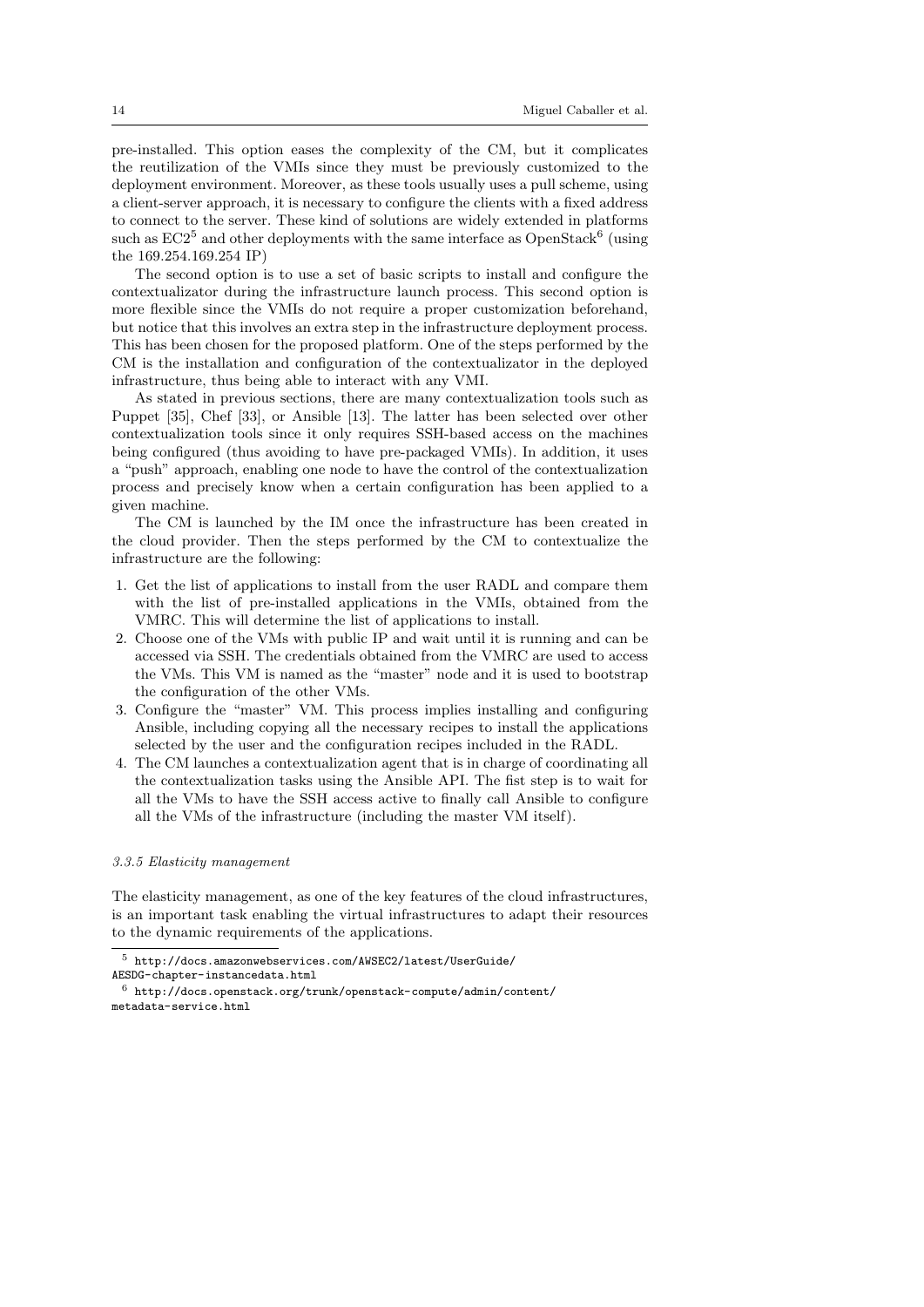pre-installed. This option eases the complexity of the CM, but it complicates the reutilization of the VMIs since they must be previously customized to the deployment environment. Moreover, as these tools usually uses a pull scheme, using a client-server approach, it is necessary to configure the clients with a fixed address to connect to the server. These kind of solutions are widely extended in platforms such as  $EC2^5$  and other deployments with the same interface as OpenStack<sup>6</sup> (using the 169.254.169.254 IP)

The second option is to use a set of basic scripts to install and configure the contextualizator during the infrastructure launch process. This second option is more flexible since the VMIs do not require a proper customization beforehand, but notice that this involves an extra step in the infrastructure deployment process. This has been chosen for the proposed platform. One of the steps performed by the CM is the installation and configuration of the contextualizator in the deployed infrastructure, thus being able to interact with any VMI.

As stated in previous sections, there are many contextualization tools such as Puppet [35], Chef [33], or Ansible [13]. The latter has been selected over other contextualization tools since it only requires SSH-based access on the machines being configured (thus avoiding to have pre-packaged VMIs). In addition, it uses a "push" approach, enabling one node to have the control of the contextualization process and precisely know when a certain configuration has been applied to a given machine.

The CM is launched by the IM once the infrastructure has been created in the cloud provider. Then the steps performed by the CM to contextualize the infrastructure are the following:

- 1. Get the list of applications to install from the user RADL and compare them with the list of pre-installed applications in the VMIs, obtained from the VMRC. This will determine the list of applications to install.
- 2. Choose one of the VMs with public IP and wait until it is running and can be accessed via SSH. The credentials obtained from the VMRC are used to access the VMs. This VM is named as the "master" node and it is used to bootstrap the configuration of the other VMs.
- 3. Configure the "master" VM. This process implies installing and configuring Ansible, including copying all the necessary recipes to install the applications selected by the user and the configuration recipes included in the RADL.
- 4. The CM launches a contextualization agent that is in charge of coordinating all the contextualization tasks using the Ansible API. The fist step is to wait for all the VMs to have the SSH access active to finally call Ansible to configure all the VMs of the infrastructure (including the master VM itself).

### 3.3.5 Elasticity management

The elasticity management, as one of the key features of the cloud infrastructures, is an important task enabling the virtual infrastructures to adapt their resources to the dynamic requirements of the applications.

 $^5\,$ http://docs.amazonwebservices.com/AWSEC2/latest/UserGuide/ AESDG-chapter-instancedata.html

 $^6$ http://docs.openstack.org/trunk/openstack-compute/admin/content/ metadata-service.html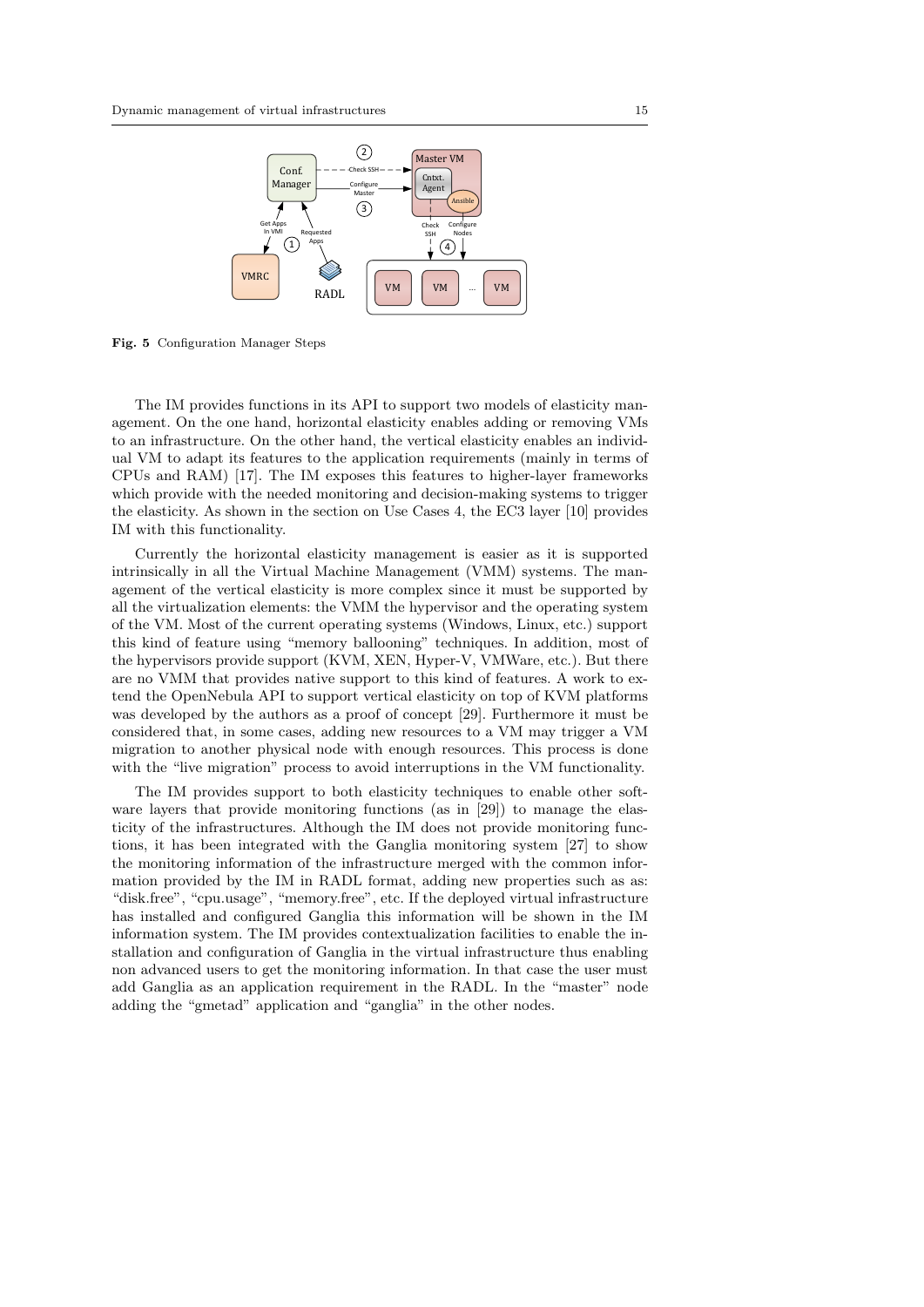

Fig. 5 Configuration Manager Steps

The IM provides functions in its API to support two models of elasticity management. On the one hand, horizontal elasticity enables adding or removing VMs to an infrastructure. On the other hand, the vertical elasticity enables an individual VM to adapt its features to the application requirements (mainly in terms of CPUs and RAM) [17]. The IM exposes this features to higher-layer frameworks which provide with the needed monitoring and decision-making systems to trigger the elasticity. As shown in the section on Use Cases 4, the EC3 layer [10] provides IM with this functionality.

Currently the horizontal elasticity management is easier as it is supported intrinsically in all the Virtual Machine Management (VMM) systems. The management of the vertical elasticity is more complex since it must be supported by all the virtualization elements: the VMM the hypervisor and the operating system of the VM. Most of the current operating systems (Windows, Linux, etc.) support this kind of feature using "memory ballooning" techniques. In addition, most of the hypervisors provide support (KVM, XEN, Hyper-V, VMWare, etc.). But there are no VMM that provides native support to this kind of features. A work to extend the OpenNebula API to support vertical elasticity on top of KVM platforms was developed by the authors as a proof of concept [29]. Furthermore it must be considered that, in some cases, adding new resources to a VM may trigger a VM migration to another physical node with enough resources. This process is done with the "live migration" process to avoid interruptions in the VM functionality.

The IM provides support to both elasticity techniques to enable other software layers that provide monitoring functions (as in [29]) to manage the elasticity of the infrastructures. Although the IM does not provide monitoring functions, it has been integrated with the Ganglia monitoring system [27] to show the monitoring information of the infrastructure merged with the common information provided by the IM in RADL format, adding new properties such as as: "disk.free", "cpu.usage", "memory.free", etc. If the deployed virtual infrastructure has installed and configured Ganglia this information will be shown in the IM information system. The IM provides contextualization facilities to enable the installation and configuration of Ganglia in the virtual infrastructure thus enabling non advanced users to get the monitoring information. In that case the user must add Ganglia as an application requirement in the RADL. In the "master" node adding the "gmetad" application and "ganglia" in the other nodes.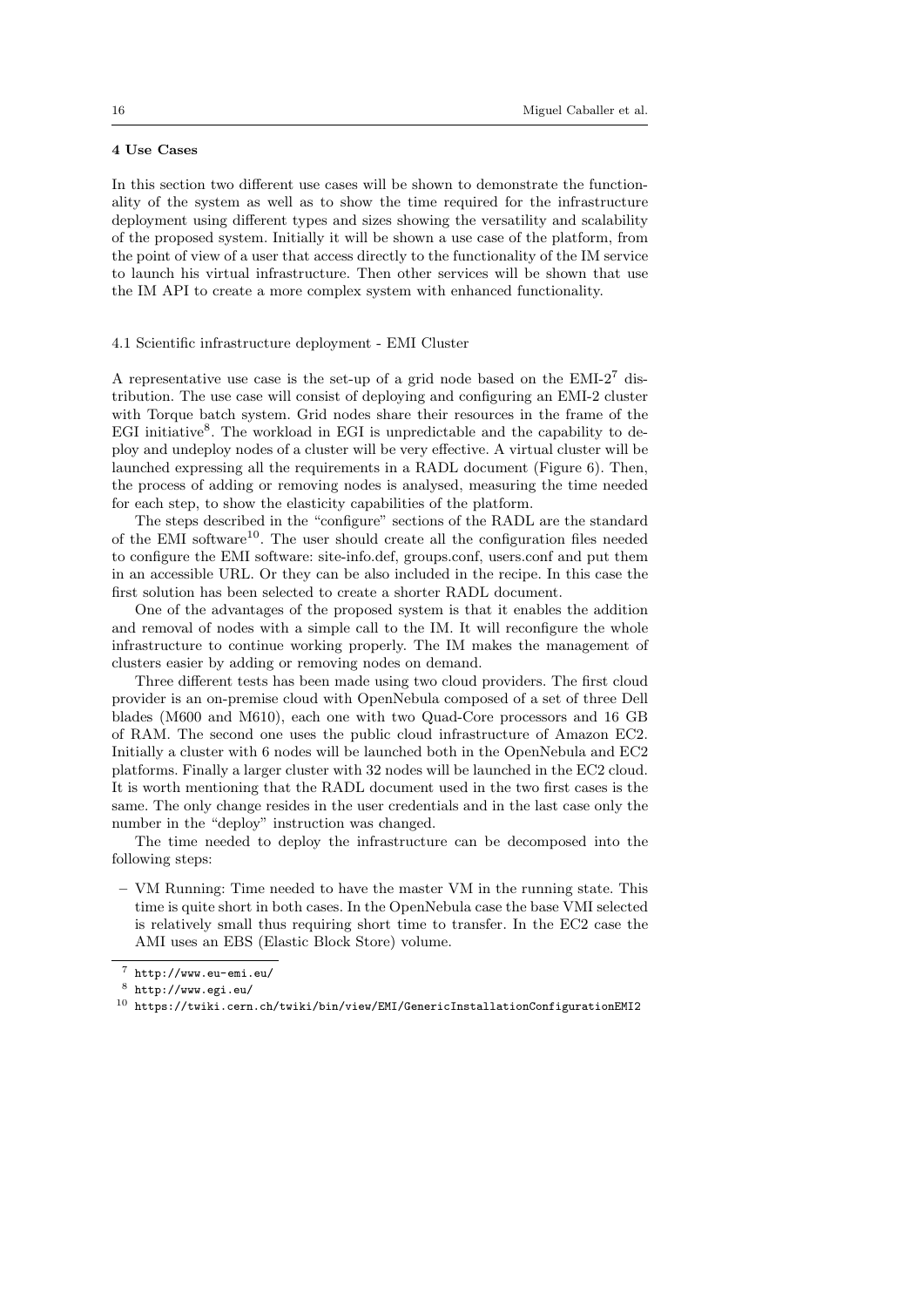# 4 Use Cases

In this section two different use cases will be shown to demonstrate the functionality of the system as well as to show the time required for the infrastructure deployment using different types and sizes showing the versatility and scalability of the proposed system. Initially it will be shown a use case of the platform, from the point of view of a user that access directly to the functionality of the IM service to launch his virtual infrastructure. Then other services will be shown that use the IM API to create a more complex system with enhanced functionality.

### 4.1 Scientific infrastructure deployment - EMI Cluster

A representative use case is the set-up of a grid node based on the EMI-2<sup>7</sup> distribution. The use case will consist of deploying and configuring an EMI-2 cluster with Torque batch system. Grid nodes share their resources in the frame of the EGI initiative<sup>8</sup>. The workload in EGI is unpredictable and the capability to deploy and undeploy nodes of a cluster will be very effective. A virtual cluster will be launched expressing all the requirements in a RADL document (Figure 6). Then, the process of adding or removing nodes is analysed, measuring the time needed for each step, to show the elasticity capabilities of the platform.

The steps described in the "configure" sections of the RADL are the standard of the EMI software<sup>10</sup>. The user should create all the configuration files needed to configure the EMI software: site-info.def, groups.conf, users.conf and put them in an accessible URL. Or they can be also included in the recipe. In this case the first solution has been selected to create a shorter RADL document.

One of the advantages of the proposed system is that it enables the addition and removal of nodes with a simple call to the IM. It will reconfigure the whole infrastructure to continue working properly. The IM makes the management of clusters easier by adding or removing nodes on demand.

Three different tests has been made using two cloud providers. The first cloud provider is an on-premise cloud with OpenNebula composed of a set of three Dell blades (M600 and M610), each one with two Quad-Core processors and 16 GB of RAM. The second one uses the public cloud infrastructure of Amazon EC2. Initially a cluster with 6 nodes will be launched both in the OpenNebula and EC2 platforms. Finally a larger cluster with 32 nodes will be launched in the EC2 cloud. It is worth mentioning that the RADL document used in the two first cases is the same. The only change resides in the user credentials and in the last case only the number in the "deploy" instruction was changed.

The time needed to deploy the infrastructure can be decomposed into the following steps:

– VM Running: Time needed to have the master VM in the running state. This time is quite short in both cases. In the OpenNebula case the base VMI selected is relatively small thus requiring short time to transfer. In the EC2 case the AMI uses an EBS (Elastic Block Store) volume.

<sup>7</sup> http://www.eu-emi.eu/

<sup>8</sup> http://www.egi.eu/

 $^{10}\,$ https://twiki.cern.ch/twiki/bin/view/EMI/GenericInstallationConfigurationEMI2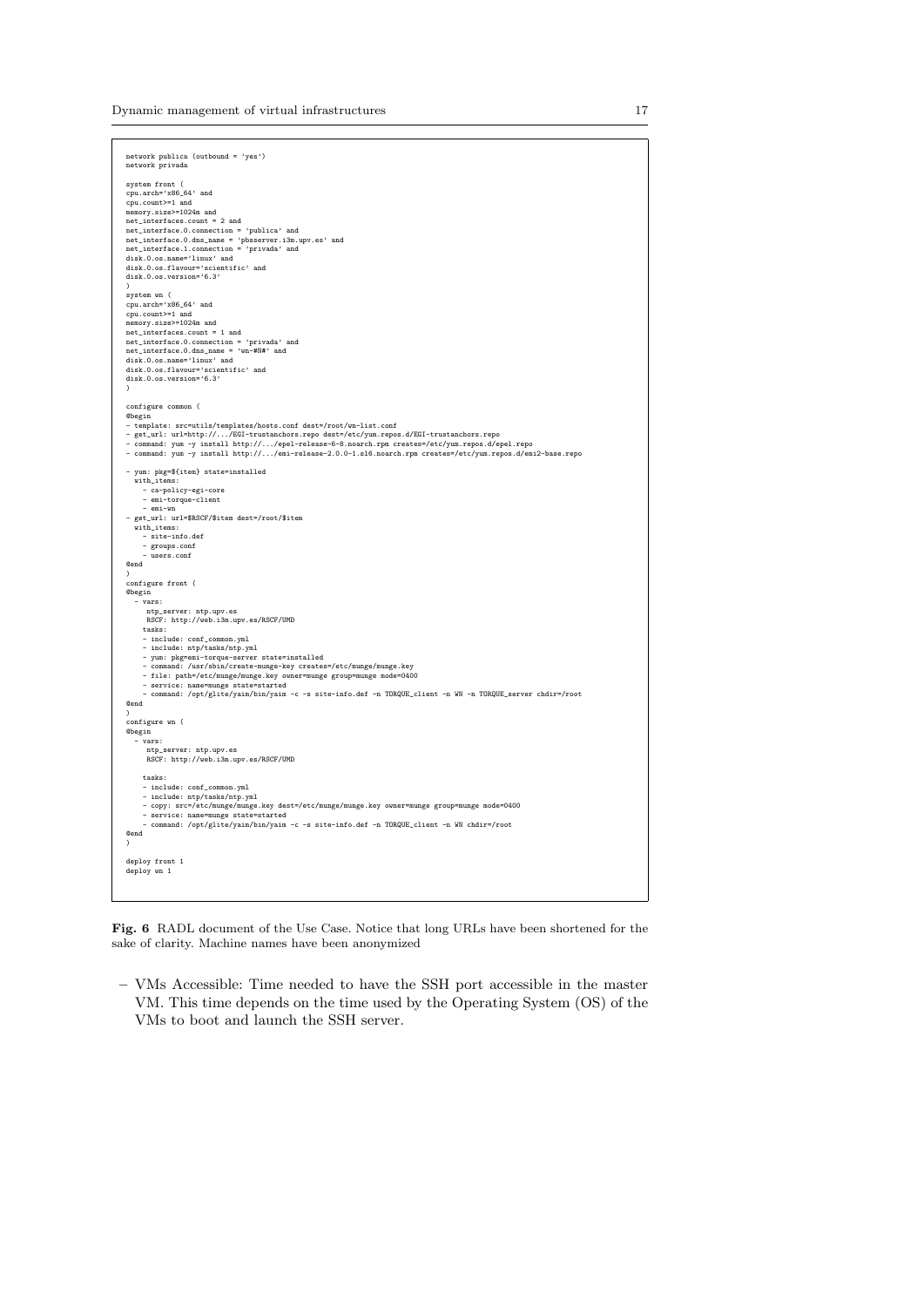Dynamic management of virtual infrastructures 17

| network publica (outbound = 'yes')<br>network privada                                                                                                                                                                                                                                                                                                                                                |
|------------------------------------------------------------------------------------------------------------------------------------------------------------------------------------------------------------------------------------------------------------------------------------------------------------------------------------------------------------------------------------------------------|
| system front (<br>cpu.arch='x86_64' and<br>cpu.count>=1 and<br>memory.size>=1024m and<br>net_interfaces.count = 2 and<br>net_interface.0.connection = 'publica' and<br>net_interface.0.dns_name = 'pbsserver.i3m.upv.es' and<br>net_interface.1.connection = 'privada' and<br>disk.0.os.name='linux' and<br>disk.0.os.flavour='scientific' and<br>disk.0.os.version='6.3'                            |
|                                                                                                                                                                                                                                                                                                                                                                                                      |
| system wn (<br>cpu.arch='x86_64' and<br>cpu.count>=1 and<br>memory.size>=1024m and<br>$net_$ interfaces.count = 1 and<br>net_interface.0.connection = 'privada' and<br>$net\_interface.0.dns\_name = 'wn+4N#'$ and<br>disk.0.os.name='linux' and<br>disk.0.os.flavour='scientific' and<br>disk.0.os.version='6.3'<br>$\lambda$                                                                       |
| configure common (                                                                                                                                                                                                                                                                                                                                                                                   |
| <b>C</b> begin<br>- template: src=utils/templates/hosts.conf dest=/root/wn-list.conf<br>- get_url: url=http:///EGI-trustanchors.repo dest=/etc/yum.repos.d/EGI-trustanchors.repo<br>- command: yum -y install http:///epel-release-6-8.noarch.rpm creates=/etc/yum.repos.d/epel.repo<br>- command: yum -y install http:///emi-release-2.0.0-1.sl6.noarch.rpm creates=/etc/yum.repos.d/emi2-base.repo |
| - yum: pkg=\${item} state=installed<br>with_items:<br>- ca-policy-egi-core<br>- emi-torque-client<br>- emi-wn<br>- get_url: url=\$RSCF/\$item dest=/root/\$item<br>with_items:<br>- site-info.def<br>- groups.conf                                                                                                                                                                                   |
| - users.conf<br>Cend                                                                                                                                                                                                                                                                                                                                                                                 |
| $\lambda$                                                                                                                                                                                                                                                                                                                                                                                            |
| configure front (<br><b>Obegin</b><br>$-$ vars:<br>ntp_server: ntp.upv.es<br>RSCF: http://web.i3m.upv.es/RSCF/UMD                                                                                                                                                                                                                                                                                    |
| tasks:<br>- include: conf_common.yml                                                                                                                                                                                                                                                                                                                                                                 |
| - include: ntp/tasks/ntp.yml                                                                                                                                                                                                                                                                                                                                                                         |
| - yum: pkg=emi-torque-server state=installed<br>- command: /usr/sbin/create-munge-key creates=/etc/munge/munge.key<br>- file: path=/etc/munge/munge.key owner=munge group=munge mode=0400<br>- service: name=munge state=started<br>- command: /opt/glite/yaim/bin/yaim -c -s site-info.def -n TORQUE_client -n WN -n TORQUE_server chdir=/root                                                      |
| Cend                                                                                                                                                                                                                                                                                                                                                                                                 |
| $\mathcal{L}$<br>configure wn (                                                                                                                                                                                                                                                                                                                                                                      |
| <b>Obegin</b><br>- vars:                                                                                                                                                                                                                                                                                                                                                                             |
| ntp_server: ntp.upv.es<br>RSCF: http://web.i3m.upv.es/RSCF/UMD                                                                                                                                                                                                                                                                                                                                       |
| tasks:<br>- include: conf_common.yml                                                                                                                                                                                                                                                                                                                                                                 |
| - include: ntp/tasks/ntp.yml<br>- copy: src=/etc/munge/munge.key dest=/etc/munge/munge.key owner=munge group=munge mode=0400<br>- service: name=munge state=started                                                                                                                                                                                                                                  |
| - command: /opt/glite/yaim/bin/yaim -c -s site-info.def -n TORQUE_client -n WN chdir=/root                                                                                                                                                                                                                                                                                                           |
| Cend<br>$\lambda$                                                                                                                                                                                                                                                                                                                                                                                    |
| deploy front 1                                                                                                                                                                                                                                                                                                                                                                                       |
| deploy wn 1                                                                                                                                                                                                                                                                                                                                                                                          |
|                                                                                                                                                                                                                                                                                                                                                                                                      |

Fig. 6 RADL document of the Use Case. Notice that long URLs have been shortened for the sake of clarity. Machine names have been anonymized

– VMs Accessible: Time needed to have the SSH port accessible in the master VM. This time depends on the time used by the Operating System (OS) of the VMs to boot and launch the SSH server.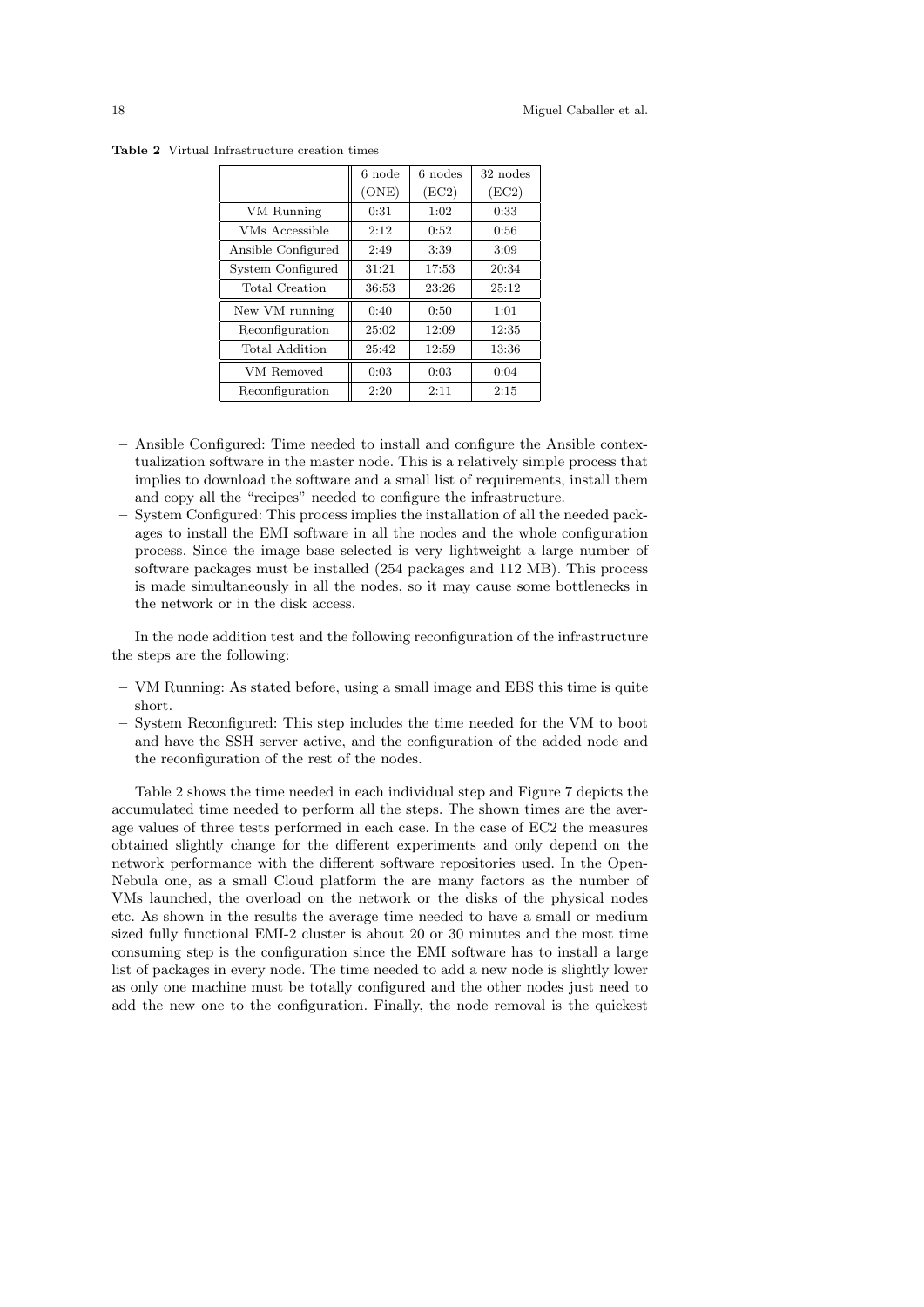|                    | 6 node | 6 nodes | 32 nodes |
|--------------------|--------|---------|----------|
|                    | (ONE)  | (EC2)   | (EC2)    |
| VM Running         | 0:31   | 1:02    | 0:33     |
| VMs Accessible     | 2:12   | 0:52    | 0:56     |
| Ansible Configured | 2:49   | 3:39    | 3:09     |
| System Configured  | 31:21  | 17:53   | 20:34    |
| Total Creation     | 36:53  | 23:26   | 25:12    |
| New VM running     | 0:40   | 0:50    | 1:01     |
| Reconfiguration    | 25:02  | 12:09   | 12:35    |
| Total Addition     | 25:42  | 12:59   | 13:36    |
| VM Removed         | 0:03   | 0:03    | 0:04     |
| Reconfiguration    | 2:20   | 2:11    | 2:15     |

Table 2 Virtual Infrastructure creation times

- Ansible Configured: Time needed to install and configure the Ansible contextualization software in the master node. This is a relatively simple process that implies to download the software and a small list of requirements, install them and copy all the "recipes" needed to configure the infrastructure.
- System Configured: This process implies the installation of all the needed packages to install the EMI software in all the nodes and the whole configuration process. Since the image base selected is very lightweight a large number of software packages must be installed (254 packages and 112 MB). This process is made simultaneously in all the nodes, so it may cause some bottlenecks in the network or in the disk access.

In the node addition test and the following reconfiguration of the infrastructure the steps are the following:

- VM Running: As stated before, using a small image and EBS this time is quite short.
- System Reconfigured: This step includes the time needed for the VM to boot and have the SSH server active, and the configuration of the added node and the reconfiguration of the rest of the nodes.

Table 2 shows the time needed in each individual step and Figure 7 depicts the accumulated time needed to perform all the steps. The shown times are the average values of three tests performed in each case. In the case of EC2 the measures obtained slightly change for the different experiments and only depend on the network performance with the different software repositories used. In the Open-Nebula one, as a small Cloud platform the are many factors as the number of VMs launched, the overload on the network or the disks of the physical nodes etc. As shown in the results the average time needed to have a small or medium sized fully functional EMI-2 cluster is about 20 or 30 minutes and the most time consuming step is the configuration since the EMI software has to install a large list of packages in every node. The time needed to add a new node is slightly lower as only one machine must be totally configured and the other nodes just need to add the new one to the configuration. Finally, the node removal is the quickest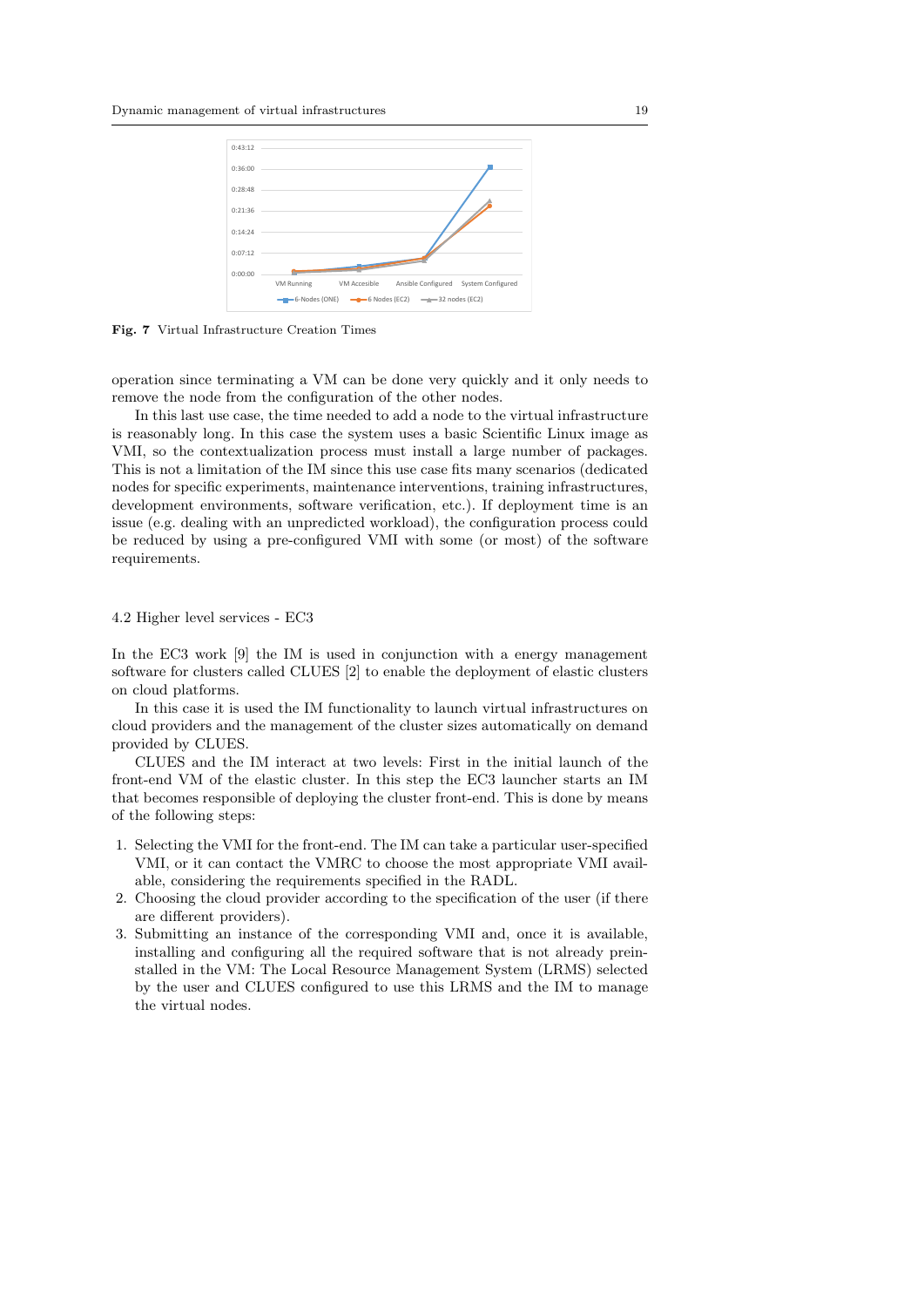

Fig. 7 Virtual Infrastructure Creation Times

operation since terminating a VM can be done very quickly and it only needs to remove the node from the configuration of the other nodes.

In this last use case, the time needed to add a node to the virtual infrastructure is reasonably long. In this case the system uses a basic Scientific Linux image as VMI, so the contextualization process must install a large number of packages. This is not a limitation of the IM since this use case fits many scenarios (dedicated nodes for specific experiments, maintenance interventions, training infrastructures, development environments, software verification, etc.). If deployment time is an issue (e.g. dealing with an unpredicted workload), the configuration process could be reduced by using a pre-configured VMI with some (or most) of the software requirements.

### 4.2 Higher level services - EC3

In the EC3 work [9] the IM is used in conjunction with a energy management software for clusters called CLUES [2] to enable the deployment of elastic clusters on cloud platforms.

In this case it is used the IM functionality to launch virtual infrastructures on cloud providers and the management of the cluster sizes automatically on demand provided by CLUES.

CLUES and the IM interact at two levels: First in the initial launch of the front-end VM of the elastic cluster. In this step the EC3 launcher starts an IM that becomes responsible of deploying the cluster front-end. This is done by means of the following steps:

- 1. Selecting the VMI for the front-end. The IM can take a particular user-specified VMI, or it can contact the VMRC to choose the most appropriate VMI available, considering the requirements specified in the RADL.
- 2. Choosing the cloud provider according to the specification of the user (if there are different providers).
- 3. Submitting an instance of the corresponding VMI and, once it is available, installing and configuring all the required software that is not already preinstalled in the VM: The Local Resource Management System (LRMS) selected by the user and CLUES configured to use this LRMS and the IM to manage the virtual nodes.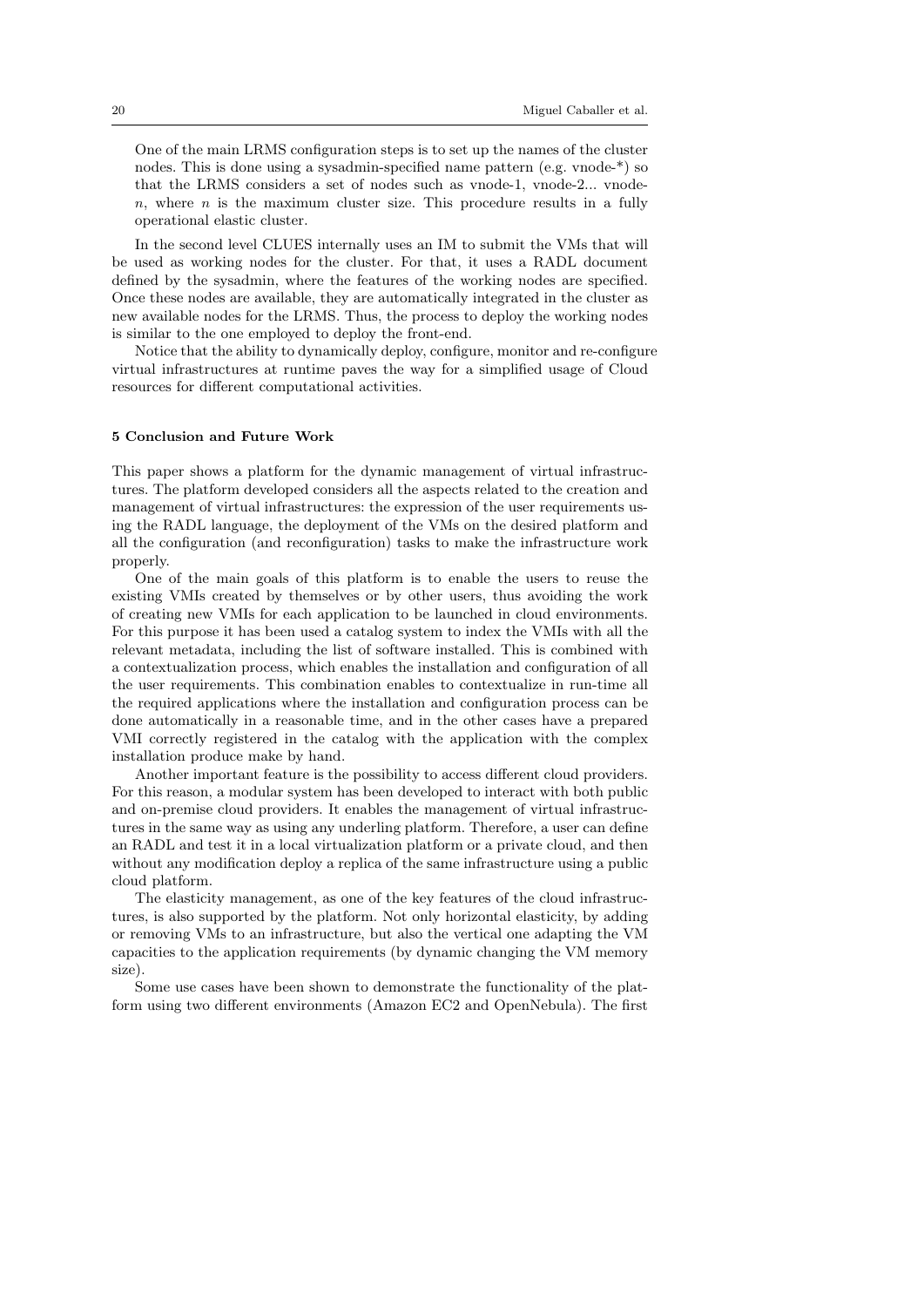One of the main LRMS configuration steps is to set up the names of the cluster nodes. This is done using a sysadmin-specified name pattern (e.g. vnode-\*) so that the LRMS considers a set of nodes such as vnode-1, vnode-2... vnode $n$ , where n is the maximum cluster size. This procedure results in a fully operational elastic cluster.

In the second level CLUES internally uses an IM to submit the VMs that will be used as working nodes for the cluster. For that, it uses a RADL document defined by the sysadmin, where the features of the working nodes are specified. Once these nodes are available, they are automatically integrated in the cluster as new available nodes for the LRMS. Thus, the process to deploy the working nodes is similar to the one employed to deploy the front-end.

Notice that the ability to dynamically deploy, configure, monitor and re-configure virtual infrastructures at runtime paves the way for a simplified usage of Cloud resources for different computational activities.

### 5 Conclusion and Future Work

This paper shows a platform for the dynamic management of virtual infrastructures. The platform developed considers all the aspects related to the creation and management of virtual infrastructures: the expression of the user requirements using the RADL language, the deployment of the VMs on the desired platform and all the configuration (and reconfiguration) tasks to make the infrastructure work properly.

One of the main goals of this platform is to enable the users to reuse the existing VMIs created by themselves or by other users, thus avoiding the work of creating new VMIs for each application to be launched in cloud environments. For this purpose it has been used a catalog system to index the VMIs with all the relevant metadata, including the list of software installed. This is combined with a contextualization process, which enables the installation and configuration of all the user requirements. This combination enables to contextualize in run-time all the required applications where the installation and configuration process can be done automatically in a reasonable time, and in the other cases have a prepared VMI correctly registered in the catalog with the application with the complex installation produce make by hand.

Another important feature is the possibility to access different cloud providers. For this reason, a modular system has been developed to interact with both public and on-premise cloud providers. It enables the management of virtual infrastructures in the same way as using any underling platform. Therefore, a user can define an RADL and test it in a local virtualization platform or a private cloud, and then without any modification deploy a replica of the same infrastructure using a public cloud platform.

The elasticity management, as one of the key features of the cloud infrastructures, is also supported by the platform. Not only horizontal elasticity, by adding or removing VMs to an infrastructure, but also the vertical one adapting the VM capacities to the application requirements (by dynamic changing the VM memory size).

Some use cases have been shown to demonstrate the functionality of the platform using two different environments (Amazon EC2 and OpenNebula). The first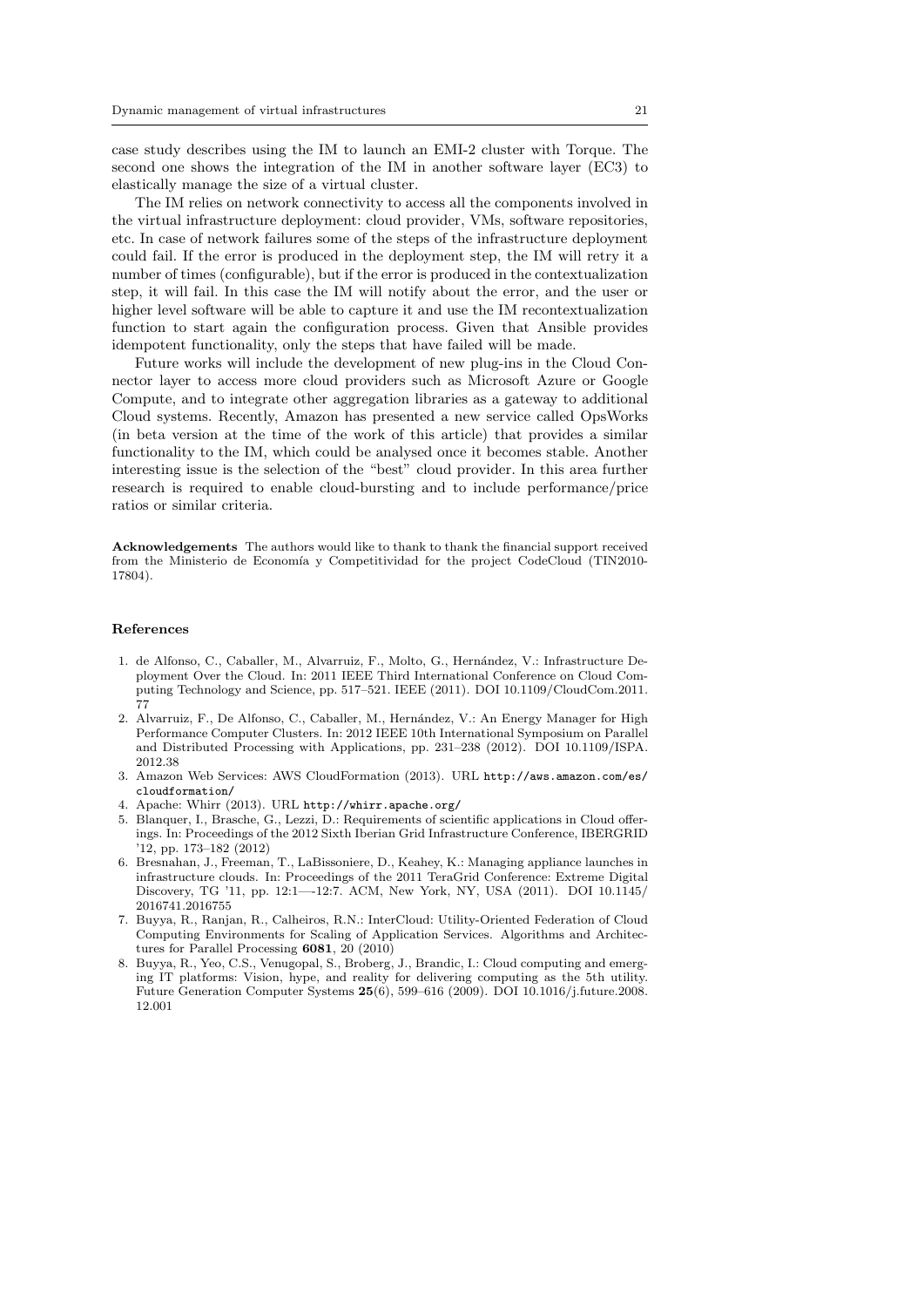case study describes using the IM to launch an EMI-2 cluster with Torque. The second one shows the integration of the IM in another software layer (EC3) to elastically manage the size of a virtual cluster.

The IM relies on network connectivity to access all the components involved in the virtual infrastructure deployment: cloud provider, VMs, software repositories, etc. In case of network failures some of the steps of the infrastructure deployment could fail. If the error is produced in the deployment step, the IM will retry it a number of times (configurable), but if the error is produced in the contextualization step, it will fail. In this case the IM will notify about the error, and the user or higher level software will be able to capture it and use the IM recontextualization function to start again the configuration process. Given that Ansible provides idempotent functionality, only the steps that have failed will be made.

Future works will include the development of new plug-ins in the Cloud Connector layer to access more cloud providers such as Microsoft Azure or Google Compute, and to integrate other aggregation libraries as a gateway to additional Cloud systems. Recently, Amazon has presented a new service called OpsWorks (in beta version at the time of the work of this article) that provides a similar functionality to the IM, which could be analysed once it becomes stable. Another interesting issue is the selection of the "best" cloud provider. In this area further research is required to enable cloud-bursting and to include performance/price ratios or similar criteria.

Acknowledgements The authors would like to thank to thank the financial support received from the Ministerio de Economía y Competitividad for the project CodeCloud (TIN2010-17804).

#### References

- 1. de Alfonso, C., Caballer, M., Alvarruiz, F., Molto, G., Hernández, V.: Infrastructure Deployment Over the Cloud. In: 2011 IEEE Third International Conference on Cloud Computing Technology and Science, pp. 517–521. IEEE (2011). DOI 10.1109/CloudCom.2011. 77
- 2. Alvarruiz, F., De Alfonso, C., Caballer, M., Hernández, V.: An Energy Manager for High Performance Computer Clusters. In: 2012 IEEE 10th International Symposium on Parallel and Distributed Processing with Applications, pp. 231–238 (2012). DOI 10.1109/ISPA. 2012.38
- 3. Amazon Web Services: AWS CloudFormation (2013). URL http://aws.amazon.com/es/ cloudformation/
- 4. Apache: Whirr (2013). URL http://whirr.apache.org/
- 5. Blanquer, I., Brasche, G., Lezzi, D.: Requirements of scientific applications in Cloud offerings. In: Proceedings of the 2012 Sixth Iberian Grid Infrastructure Conference, IBERGRID '12, pp. 173–182 (2012)
- 6. Bresnahan, J., Freeman, T., LaBissoniere, D., Keahey, K.: Managing appliance launches in infrastructure clouds. In: Proceedings of the 2011 TeraGrid Conference: Extreme Digital Discovery, TG '11, pp. 12:1—-12:7. ACM, New York, NY, USA (2011). DOI 10.1145/ 2016741.2016755
- 7. Buyya, R., Ranjan, R., Calheiros, R.N.: InterCloud: Utility-Oriented Federation of Cloud Computing Environments for Scaling of Application Services. Algorithms and Architectures for Parallel Processing 6081, 20 (2010)
- 8. Buyya, R., Yeo, C.S., Venugopal, S., Broberg, J., Brandic, I.: Cloud computing and emerging IT platforms: Vision, hype, and reality for delivering computing as the 5th utility. Future Generation Computer Systems 25(6), 599–616 (2009). DOI 10.1016/j.future.2008. 12.001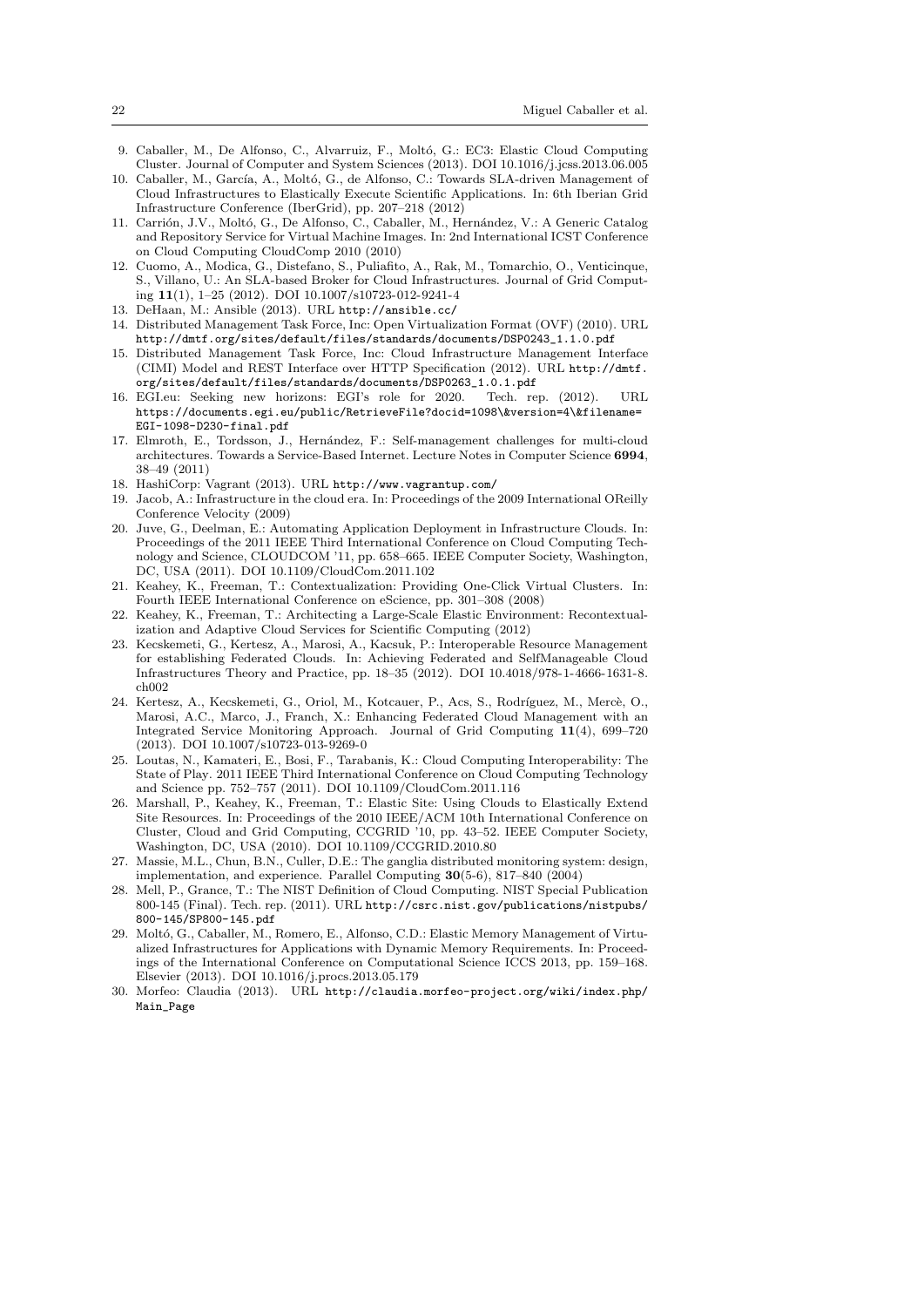- 9. Caballer, M., De Alfonso, C., Alvarruiz, F., Moltó, G.: EC3: Elastic Cloud Computing Cluster. Journal of Computer and System Sciences (2013). DOI 10.1016/j.jcss.2013.06.005
- 10. Caballer, M., García, A., Moltó, G., de Alfonso, C.: Towards SLA-driven Management of Cloud Infrastructures to Elastically Execute Scientific Applications. In: 6th Iberian Grid Infrastructure Conference (IberGrid), pp. 207–218 (2012)
- 11. Carrión, J.V., Moltó, G., De Alfonso, C., Caballer, M., Hernández, V.: A Generic Catalog and Repository Service for Virtual Machine Images. In: 2nd International ICST Conference on Cloud Computing CloudComp 2010 (2010)
- 12. Cuomo, A., Modica, G., Distefano, S., Puliafito, A., Rak, M., Tomarchio, O., Venticinque, S., Villano, U.: An SLA-based Broker for Cloud Infrastructures. Journal of Grid Computing 11(1), 1–25 (2012). DOI 10.1007/s10723-012-9241-4
- 13. DeHaan, M.: Ansible (2013). URL http://ansible.cc/
- 14. Distributed Management Task Force, Inc: Open Virtualization Format (OVF) (2010). URL http://dmtf.org/sites/default/files/standards/documents/DSP0243\_1.1.0.pdf
- 15. Distributed Management Task Force, Inc: Cloud Infrastructure Management Interface (CIMI) Model and REST Interface over HTTP Specification (2012). URL http://dmtf. org/sites/default/files/standards/documents/DSP0263\_1.0.1.pdf
- 16. EGI.eu: Seeking new horizons: EGI's role for 2020. Tech. rep. (2012). URL https://documents.egi.eu/public/RetrieveFile?docid=1098\&version=4\&filename= EGI-1098-D230-final.pdf
- 17. Elmroth, E., Tordsson, J., Hern´andez, F.: Self-management challenges for multi-cloud architectures. Towards a Service-Based Internet. Lecture Notes in Computer Science 6994, 38–49 (2011)
- 18. HashiCorp: Vagrant (2013). URL http://www.vagrantup.com/
- 19. Jacob, A.: Infrastructure in the cloud era. In: Proceedings of the 2009 International OReilly Conference Velocity (2009)
- 20. Juve, G., Deelman, E.: Automating Application Deployment in Infrastructure Clouds. In: Proceedings of the 2011 IEEE Third International Conference on Cloud Computing Technology and Science, CLOUDCOM '11, pp. 658–665. IEEE Computer Society, Washington, DC, USA (2011). DOI 10.1109/CloudCom.2011.102
- 21. Keahey, K., Freeman, T.: Contextualization: Providing One-Click Virtual Clusters. In: Fourth IEEE International Conference on eScience, pp. 301–308 (2008)
- 22. Keahey, K., Freeman, T.: Architecting a Large-Scale Elastic Environment: Recontextualization and Adaptive Cloud Services for Scientific Computing (2012)
- 23. Kecskemeti, G., Kertesz, A., Marosi, A., Kacsuk, P.: Interoperable Resource Management for establishing Federated Clouds. In: Achieving Federated and SelfManageable Cloud Infrastructures Theory and Practice, pp. 18–35 (2012). DOI 10.4018/978-1-4666-1631-8. ch002
- 24. Kertesz, A., Kecskemeti, G., Oriol, M., Kotcauer, P., Acs, S., Rodríguez, M., Mercè, O., Marosi, A.C., Marco, J., Franch, X.: Enhancing Federated Cloud Management with an Integrated Service Monitoring Approach. Journal of Grid Computing 11(4), 699–720 (2013). DOI 10.1007/s10723-013-9269-0
- 25. Loutas, N., Kamateri, E., Bosi, F., Tarabanis, K.: Cloud Computing Interoperability: The State of Play. 2011 IEEE Third International Conference on Cloud Computing Technology and Science pp. 752–757 (2011). DOI 10.1109/CloudCom.2011.116
- 26. Marshall, P., Keahey, K., Freeman, T.: Elastic Site: Using Clouds to Elastically Extend Site Resources. In: Proceedings of the 2010 IEEE/ACM 10th International Conference on Cluster, Cloud and Grid Computing, CCGRID '10, pp. 43–52. IEEE Computer Society, Washington, DC, USA (2010). DOI 10.1109/CCGRID.2010.80
- 27. Massie, M.L., Chun, B.N., Culler, D.E.: The ganglia distributed monitoring system: design, implementation, and experience. Parallel Computing 30(5-6), 817–840 (2004)
- 28. Mell, P., Grance, T.: The NIST Definition of Cloud Computing. NIST Special Publication 800-145 (Final). Tech. rep. (2011). URL http://csrc.nist.gov/publications/nistpubs/ 800-145/SP800-145.pdf
- 29. Moltó, G., Caballer, M., Romero, E., Alfonso, C.D.: Elastic Memory Management of Virtualized Infrastructures for Applications with Dynamic Memory Requirements. In: Proceedings of the International Conference on Computational Science ICCS 2013, pp. 159–168. Elsevier (2013). DOI 10.1016/j.procs.2013.05.179
- 30. Morfeo: Claudia (2013). URL http://claudia.morfeo-project.org/wiki/index.php/ Main\_Page